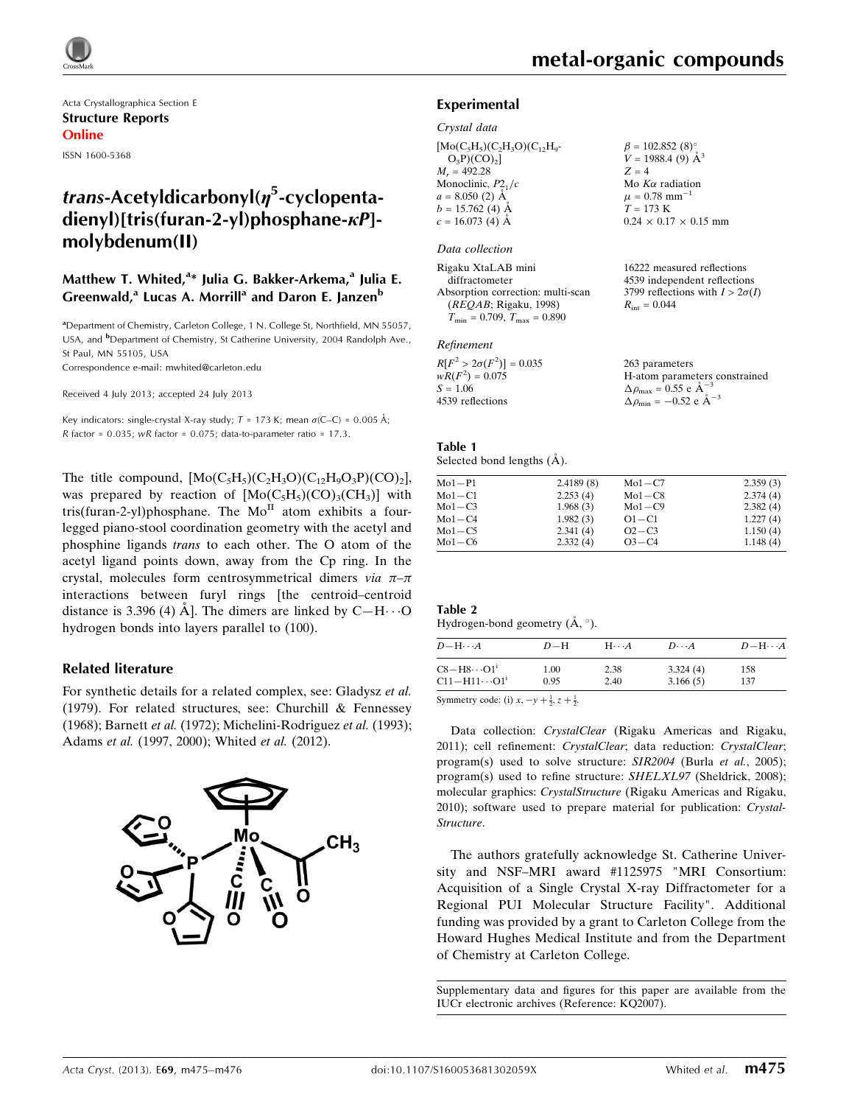

Acta Crystallographica Section E Structure Reports Online ISSN 1600-5368

## *trans-*Acetyldicarbonyl( $\eta^5$ -cyclopentadienyl)[tris(furan-2-yl)phosphane- $\kappa P$ ]molybdenum(II)

#### Matthew T. Whited,<sup>a</sup>\* Julia G. Bakker-Arkema,<sup>a</sup> Julia E. Greenwald,<sup>a</sup> Lucas A. Morrill<sup>a</sup> and Daron E. Janzen<sup>b</sup>

<sup>a</sup> Department of Chemistry, Carleton College, 1 N. College St, Northfield, MN 55057, USA, and <sup>b</sup>Department of Chemistry, St Catherine University, 2004 Randolph Ave., St Paul, MN 55105, USA

Correspondence e-mail: [mwhited@carleton.edu](https://scripts.iucr.org/cgi-bin/cr.cgi?rm=pdfbb&cnor=kq2007&bbid=BB12)

Received 4 July 2013; accepted 24 July 2013

Key indicators: single-crystal X-ray study;  $T$  = 173 K; mean  $\sigma$ (C–C) = 0.005 Å; R factor =  $0.035$ ; wR factor =  $0.075$ ; data-to-parameter ratio = 17.3.

The title compound,  $[Mo(C_5H_5)(C_2H_3O)(C_{12}H_9O_3P)(CO)_2]$ , was prepared by reaction of  $[Mo(C<sub>5</sub>H<sub>5</sub>)(CO)<sub>3</sub>(CH<sub>3</sub>)]$  with tris(furan-2-yl)phosphane. The  $Mo<sup>H</sup>$  atom exhibits a fourlegged piano-stool coordination geometry with the acetyl and phosphine ligands trans to each other. The O atom of the acetyl ligand points down, away from the Cp ring. In the crystal, molecules form centrosymmetrical dimers via  $\pi-\pi$ interactions between furyl rings [the centroid–centroid distance is 3.396 (4) Å]. The dimers are linked by  $C-H\cdots O$ hydrogen bonds into layers parallel to (100).

#### Related literature

For synthetic details for a related complex, see: Gladysz et al. (1979). For related structures, see: Churchill & Fennessey (1968); Barnett et al. (1972); Michelini-Rodriguez et al. (1993); Adams et al. (1997, 2000); Whited et al. (2012).



16222 measured reflections 4539 independent reflections 3799 reflections with  $I > 2\sigma(I)$ 

 $R_{\text{int}} = 0.044$ 

#### Experimental

#### Crystal data

| $[Mo(C5H5)(C2H3O)(C12H9]-$ |                                                                |
|----------------------------|----------------------------------------------------------------|
| $O_3P$ $(CO)_2$            | $\beta = 102.852$ (8) <sup>o</sup><br>$V = 1988.4$ (9) $\AA^3$ |
| $M_r = 492.28$             | $Z = 4$                                                        |
| Monoclinic, $P2_1/c$       | Mo $K\alpha$ radiation                                         |
| $a = 8.050$ (2) Å          | $\mu = 0.78$ mm <sup>-1</sup>                                  |
| $b = 15.762(4)$ Å          | $T = 173 \text{ K}$                                            |
| $c = 16.073$ (4) Å         | $0.24 \times 0.17 \times 0.15$ mm                              |
|                            |                                                                |

#### Data collection

Rigaku XtaLAB mini diffractometer Absorption correction: multi-scan (REQAB; Rigaku, 1998)  $T_{\text{min}} = 0.709, T_{\text{max}} = 0.890$ 

#### Refinement

| $R[F^2 > 2\sigma(F^2)] = 0.035$ | 263 parameters                                  |
|---------------------------------|-------------------------------------------------|
| $wR(F^2) = 0.075$               | H-atom parameters constrained                   |
| $S = 1.06$                      | $\Delta\rho_{\text{max}} = 0.55$ e $\AA^{-3}$   |
| 4539 reflections                | $\Delta \rho_{\text{min}} = -0.52$ e $\AA^{-3}$ |

| Table 1 |                            |  |
|---------|----------------------------|--|
|         | Selected bond lengths (A). |  |

| 2.359(3) |
|----------|
| 2.374(4) |
| 2.382(4) |
| 1.227(4) |
| 1.150(4) |
| 1.148(4) |
|          |

#### Table 2

Hydrogen-bond geometry  $(\AA, \degree)$ .

| $D - H \cdots A$                       | $D-H$ | $H \cdot \cdot \cdot A$ | $D\cdots A$ | $D - H \cdots A$ |
|----------------------------------------|-------|-------------------------|-------------|------------------|
| $C8 - H8 \cdot \cdot \cdot \cdot O1^1$ | 1.00  | 2.38                    | 3.324(4)    | 158              |
| $C11 - H11 \cdots O1$ <sup>i</sup>     | 0.95  | 2.40                    | 3.166(5)    | 137              |

Symmetry code: (i)  $x, -y + \frac{1}{2}, z + \frac{1}{2}$ .

Data collection: CrystalClear (Rigaku Americas and Rigaku, 2011); cell refinement: CrystalClear; data reduction: CrystalClear; program(s) used to solve structure: SIR2004 (Burla et al., 2005); program(s) used to refine structure: SHELXL97 (Sheldrick, 2008); molecular graphics: CrystalStructure (Rigaku Americas and Rigaku, 2010); software used to prepare material for publication: Crystal-Structure.

The authors gratefully acknowledge St. Catherine University and NSF–MRI award #1125975 "MRI Consortium: Acquisition of a Single Crystal X-ray Diffractometer for a Regional PUI Molecular Structure Facility". Additional funding was provided by a grant to Carleton College from the Howard Hughes Medical Institute and from the Department of Chemistry at Carleton College.

Supplementary data and figures for this paper are available from the IUCr electronic archives (Reference: KQ2007).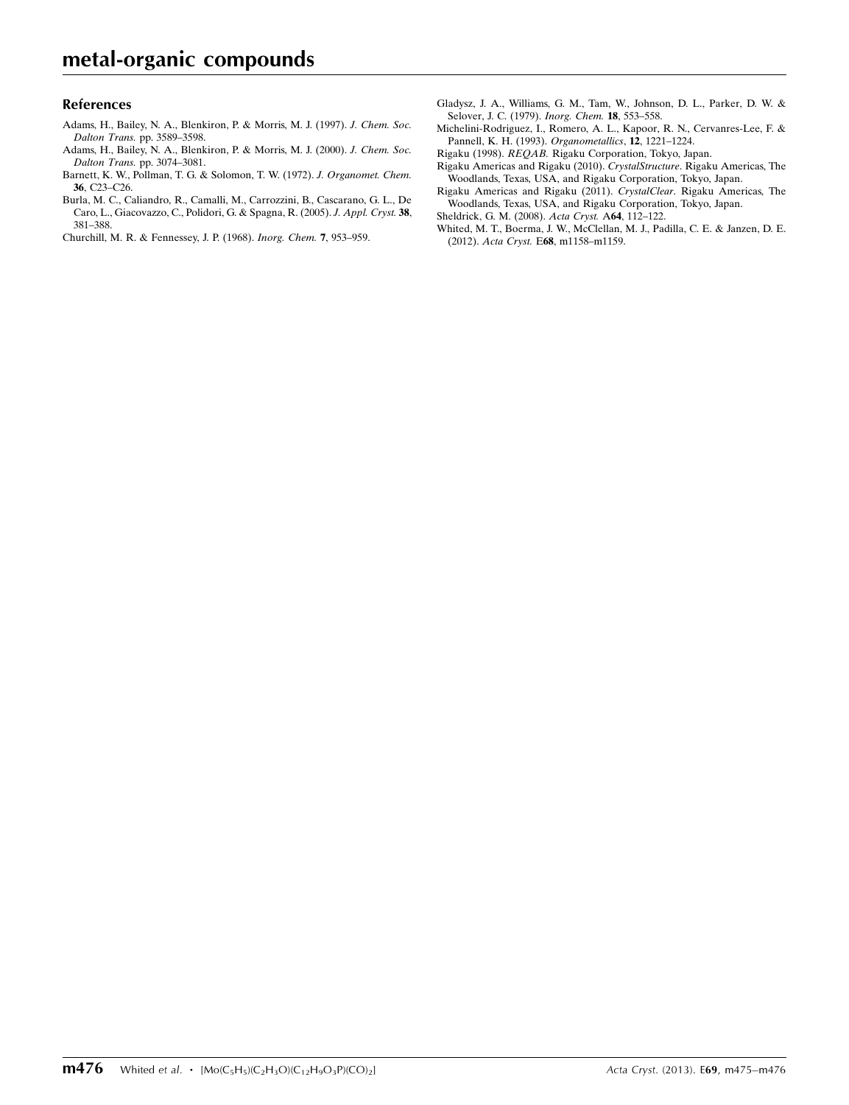#### References

- [Adams, H., Bailey, N. A., Blenkiron, P. & Morris, M. J. \(1997\).](https://scripts.iucr.org/cgi-bin/cr.cgi?rm=pdfbb&cnor=kq2007&bbid=BB1) J. Chem. Soc. Dalton Trans. [pp. 3589–3598.](https://scripts.iucr.org/cgi-bin/cr.cgi?rm=pdfbb&cnor=kq2007&bbid=BB1)
- [Adams, H., Bailey, N. A., Blenkiron, P. & Morris, M. J. \(2000\).](https://scripts.iucr.org/cgi-bin/cr.cgi?rm=pdfbb&cnor=kq2007&bbid=BB2) J. Chem. Soc. Dalton Trans. [pp. 3074–3081.](https://scripts.iucr.org/cgi-bin/cr.cgi?rm=pdfbb&cnor=kq2007&bbid=BB2)
- [Barnett, K. W., Pollman, T. G. & Solomon, T. W. \(1972\).](https://scripts.iucr.org/cgi-bin/cr.cgi?rm=pdfbb&cnor=kq2007&bbid=BB3) J. Organomet. Chem. 36[, C23–C26.](https://scripts.iucr.org/cgi-bin/cr.cgi?rm=pdfbb&cnor=kq2007&bbid=BB3)
- [Burla, M. C., Caliandro, R., Camalli, M., Carrozzini, B., Cascarano, G. L., De](https://scripts.iucr.org/cgi-bin/cr.cgi?rm=pdfbb&cnor=kq2007&bbid=BB4) [Caro, L., Giacovazzo, C., Polidori, G. & Spagna, R. \(2005\).](https://scripts.iucr.org/cgi-bin/cr.cgi?rm=pdfbb&cnor=kq2007&bbid=BB4) J. Appl. Cryst. 38, [381–388.](https://scripts.iucr.org/cgi-bin/cr.cgi?rm=pdfbb&cnor=kq2007&bbid=BB4)
- [Churchill, M. R. & Fennessey, J. P. \(1968\).](https://scripts.iucr.org/cgi-bin/cr.cgi?rm=pdfbb&cnor=kq2007&bbid=BB5) Inorg. Chem. 7, 953–959.
- [Gladysz, J. A., Williams, G. M., Tam, W., Johnson, D. L., Parker, D. W. &](https://scripts.iucr.org/cgi-bin/cr.cgi?rm=pdfbb&cnor=kq2007&bbid=BB6) [Selover, J. C. \(1979\).](https://scripts.iucr.org/cgi-bin/cr.cgi?rm=pdfbb&cnor=kq2007&bbid=BB6) Inorg. Chem. 18, 553–558.
- [Michelini-Rodriguez, I., Romero, A. L., Kapoor, R. N., Cervanres-Lee, F. &](https://scripts.iucr.org/cgi-bin/cr.cgi?rm=pdfbb&cnor=kq2007&bbid=BB7) [Pannell, K. H. \(1993\).](https://scripts.iucr.org/cgi-bin/cr.cgi?rm=pdfbb&cnor=kq2007&bbid=BB7) Organometallics, 12, 1221–1224.
- Rigaku (1998). REQAB. [Rigaku Corporation, Tokyo, Japan.](https://scripts.iucr.org/cgi-bin/cr.cgi?rm=pdfbb&cnor=kq2007&bbid=BB8)
- [Rigaku Americas and Rigaku \(2010\).](https://scripts.iucr.org/cgi-bin/cr.cgi?rm=pdfbb&cnor=kq2007&bbid=BB9) CrystalStructure. Rigaku Americas, The [Woodlands, Texas, USA, and Rigaku Corporation, Tokyo, Japan.](https://scripts.iucr.org/cgi-bin/cr.cgi?rm=pdfbb&cnor=kq2007&bbid=BB9)
- [Rigaku Americas and Rigaku \(2011\).](https://scripts.iucr.org/cgi-bin/cr.cgi?rm=pdfbb&cnor=kq2007&bbid=BB10) CrystalClear. Rigaku Americas, The [Woodlands, Texas, USA, and Rigaku Corporation, Tokyo, Japan.](https://scripts.iucr.org/cgi-bin/cr.cgi?rm=pdfbb&cnor=kq2007&bbid=BB10)
- [Sheldrick, G. M. \(2008\).](https://scripts.iucr.org/cgi-bin/cr.cgi?rm=pdfbb&cnor=kq2007&bbid=BB11) Acta Cryst. A64, 112–122.
- [Whited, M. T., Boerma, J. W., McClellan, M. J., Padilla, C. E. & Janzen, D. E.](https://scripts.iucr.org/cgi-bin/cr.cgi?rm=pdfbb&cnor=kq2007&bbid=BB12) (2012). Acta Cryst. E68[, m1158–m1159.](https://scripts.iucr.org/cgi-bin/cr.cgi?rm=pdfbb&cnor=kq2007&bbid=BB12)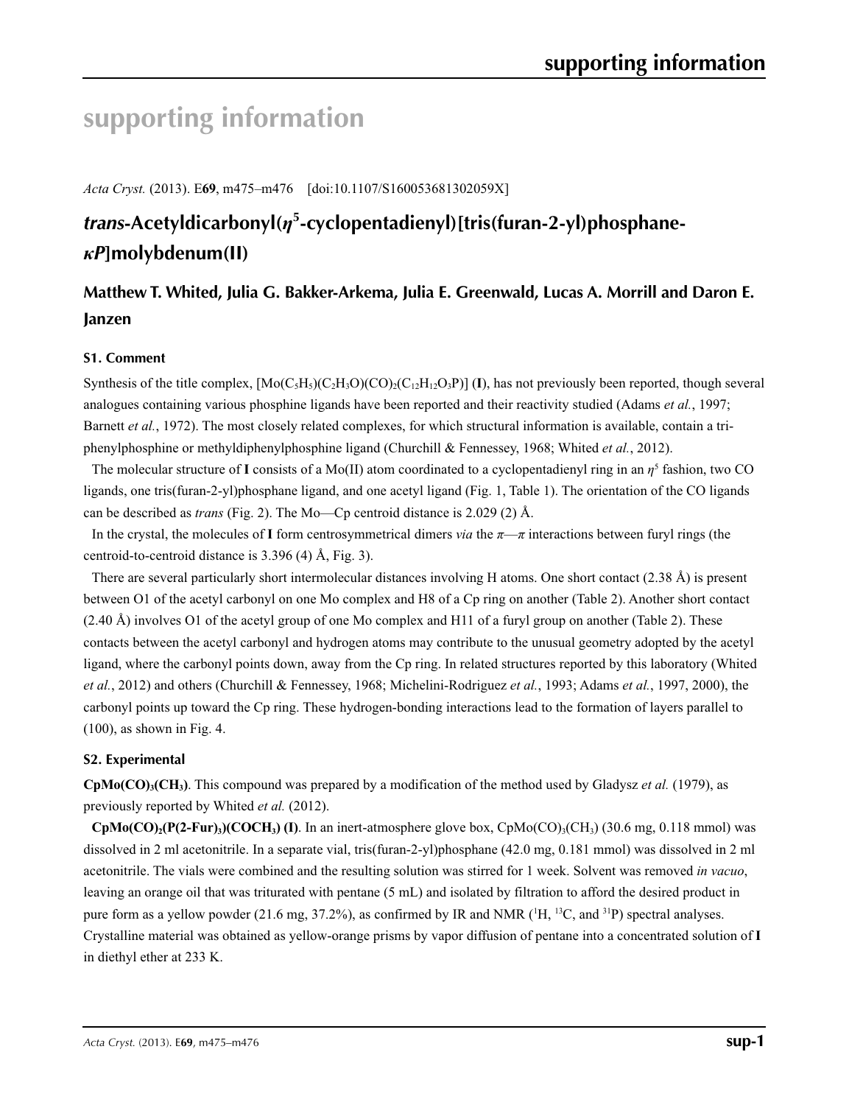# **supporting information**

*Acta Cryst.* (2013). E**69**, m475–m476 [doi:10.1107/S160053681302059X]

# *trans***-Acetyldicarbonyl(***η***<sup>5</sup> -cyclopentadienyl)[tris(furan-2-yl)phosphane***κP***]molybdenum(II)**

# **Matthew T. Whited, Julia G. Bakker-Arkema, Julia E. Greenwald, Lucas A. Morrill and Daron E. Janzen**

#### **S1. Comment**

Synthesis of the title complex,  $[Mo(C_5H_3O)(CO)_2(C_1H_12O_3P)]$  (I), has not previously been reported, though several analogues containing various phosphine ligands have been reported and their reactivity studied (Adams *et al.*, 1997; Barnett *et al.*, 1972). The most closely related complexes, for which structural information is available, contain a triphenylphosphine or methyldiphenylphosphine ligand (Churchill & Fennessey, 1968; Whited *et al.*, 2012).

The molecular structure of **I** consists of a Mo(II) atom coordinated to a cyclopentadienyl ring in an *η*<sup>5</sup> fashion, two CO ligands, one tris(furan-2-yl)phosphane ligand, and one acetyl ligand (Fig. 1, Table 1). The orientation of the CO ligands can be described as *trans* (Fig. 2). The Mo—Cp centroid distance is 2.029 (2) Å.

In the crystal, the molecules of **I** form centrosymmetrical dimers *via* the *π*—*π* interactions between furyl rings (the centroid-to-centroid distance is 3.396 (4) Å, Fig. 3).

There are several particularly short intermolecular distances involving H atoms. One short contact (2.38 Å) is present between O1 of the acetyl carbonyl on one Mo complex and H8 of a Cp ring on another (Table 2). Another short contact (2.40 Å) involves O1 of the acetyl group of one Mo complex and H11 of a furyl group on another (Table 2). These contacts between the acetyl carbonyl and hydrogen atoms may contribute to the unusual geometry adopted by the acetyl ligand, where the carbonyl points down, away from the Cp ring. In related structures reported by this laboratory (Whited *et al.*, 2012) and others (Churchill & Fennessey, 1968; Michelini-Rodriguez *et al.*, 1993; Adams *et al.*, 1997, 2000), the carbonyl points up toward the Cp ring. These hydrogen-bonding interactions lead to the formation of layers parallel to (100), as shown in Fig. 4.

#### **S2. Experimental**

**CpMo(CO)3(CH3)**. This compound was prepared by a modification of the method used by Gladysz *et al.* (1979), as previously reported by Whited *et al.* (2012).

 $\text{CpMo(CO)}_2(\text{P}(2-\text{Fur})_3)(\text{COCH}_3)$  (I). In an inert-atmosphere glove box,  $\text{CpMo(CO)}_3(\text{CH}_3)$  (30.6 mg, 0.118 mmol) was dissolved in 2 ml acetonitrile. In a separate vial, tris(furan-2-yl)phosphane (42.0 mg, 0.181 mmol) was dissolved in 2 ml acetonitrile. The vials were combined and the resulting solution was stirred for 1 week. Solvent was removed *in vacuo*, leaving an orange oil that was triturated with pentane (5 mL) and isolated by filtration to afford the desired product in pure form as a yellow powder (21.6 mg, 37.2%), as confirmed by IR and NMR ( $\rm{H}$ ,  $\rm{^{13}C}$ , and  $\rm{^{31}P}$ ) spectral analyses. Crystalline material was obtained as yellow-orange prisms by vapor diffusion of pentane into a concentrated solution of **I** in diethyl ether at 233 K.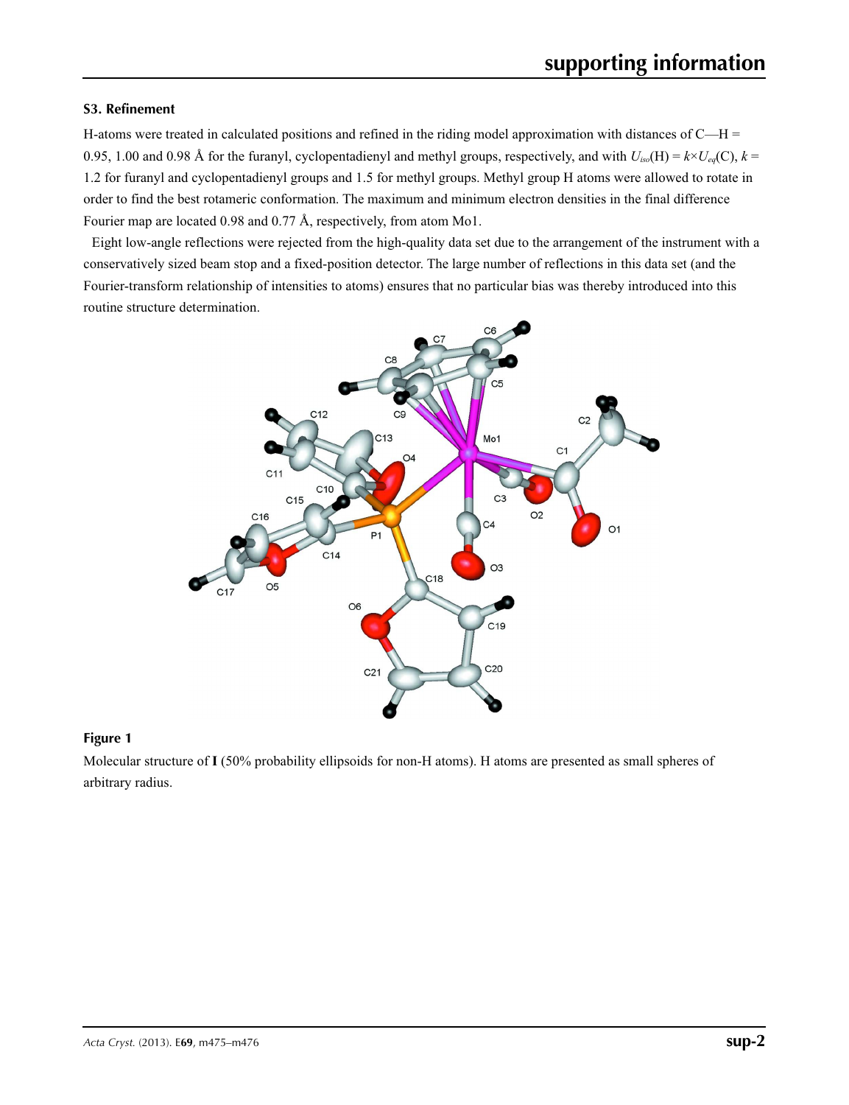#### **S3. Refinement**

H-atoms were treated in calculated positions and refined in the riding model approximation with distances of C—H = 0.95, 1.00 and 0.98 Å for the furanyl, cyclopentadienyl and methyl groups, respectively, and with  $U_{iso}(H) = k \times U_{eq}(C)$ ,  $k =$ 1.2 for furanyl and cyclopentadienyl groups and 1.5 for methyl groups. Methyl group H atoms were allowed to rotate in order to find the best rotameric conformation. The maximum and minimum electron densities in the final difference Fourier map are located 0.98 and 0.77 Å, respectively, from atom Mo1.

Eight low-angle reflections were rejected from the high-quality data set due to the arrangement of the instrument with a conservatively sized beam stop and a fixed-position detector. The large number of reflections in this data set (and the Fourier-transform relationship of intensities to atoms) ensures that no particular bias was thereby introduced into this routine structure determination.



#### **Figure 1**

Molecular structure of **I** (50% probability ellipsoids for non-H atoms). H atoms are presented as small spheres of arbitrary radius.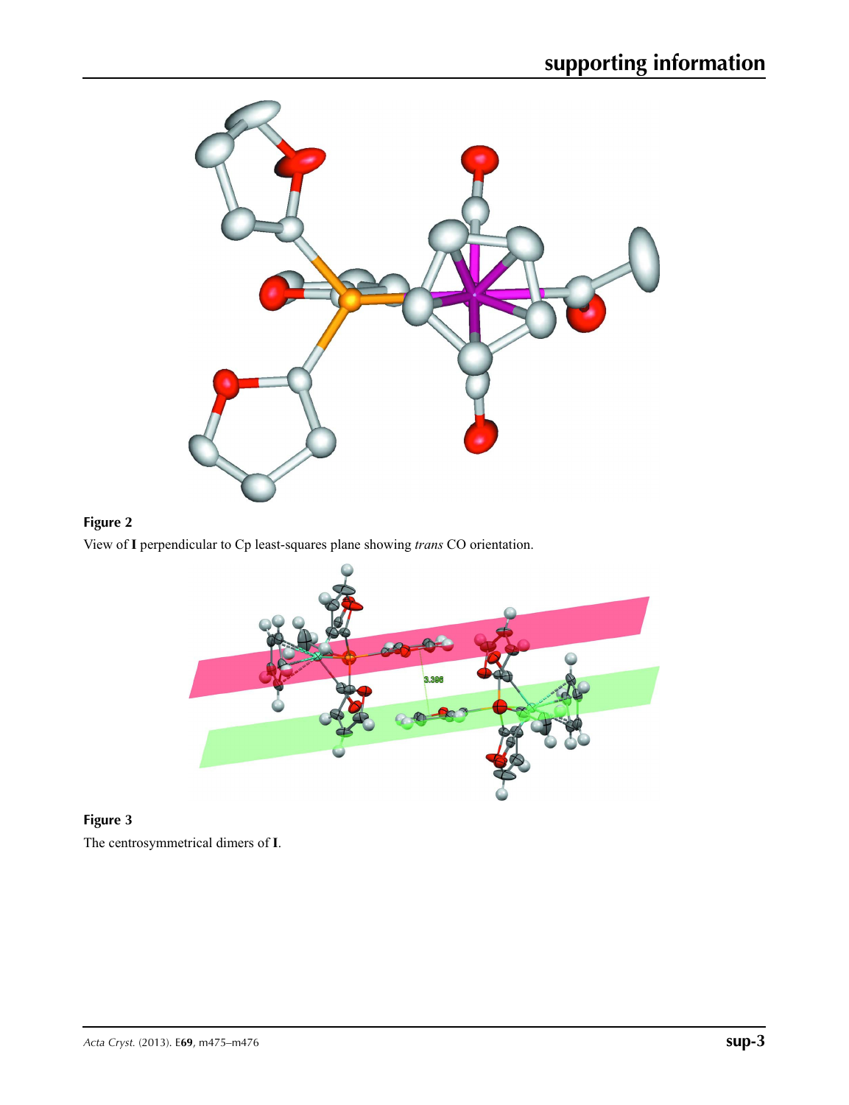

### **Figure 2**

View of **I** perpendicular to Cp least-squares plane showing *trans* CO orientation.



## **Figure 3** The centrosymmetrical dimers of **I**.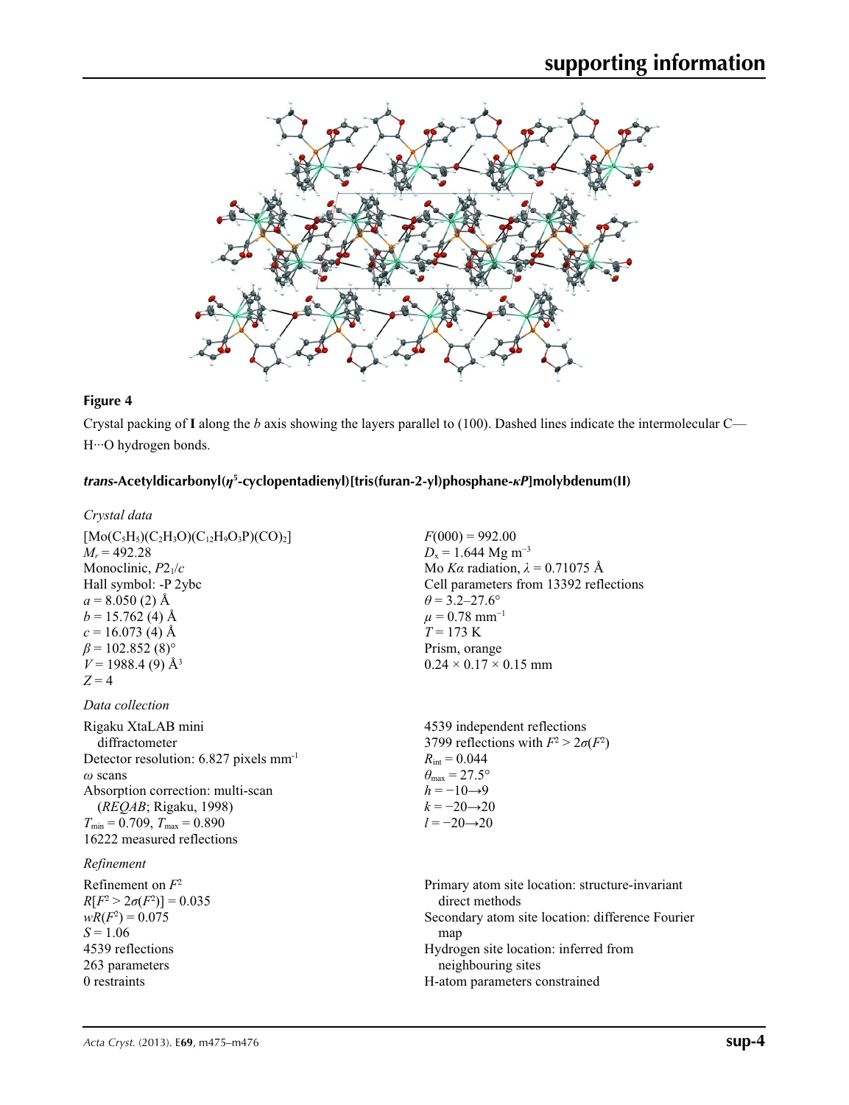

#### **Figure 4**

Crystal packing of **I** along the *b* axis showing the layers parallel to (100). Dashed lines indicate the intermolecular C— H···O hydrogen bonds.

#### *trans***-Acetyldicarbonyl(***η***<sup>5</sup> -cyclopentadienyl)[tris(furan-2-yl)phosphane-***κP***]molybdenum(II)**

| Crystal data                                                                                                                                                                                                                                                           |                                                                                                                                                                                                                                                                                 |
|------------------------------------------------------------------------------------------------------------------------------------------------------------------------------------------------------------------------------------------------------------------------|---------------------------------------------------------------------------------------------------------------------------------------------------------------------------------------------------------------------------------------------------------------------------------|
| $[Mo(C5H5)(C2H3O)(C12H9O3P)(CO)2]$<br>$M_r = 492.28$<br>Monoclinic, $P2_1/c$<br>Hall symbol: -P 2ybc<br>$a = 8.050(2)$ Å<br>$b = 15.762$ (4) Å<br>$c = 16.073$ (4) Å<br>$\beta$ = 102.852 (8) <sup>o</sup><br>$V = 1988.4(9)$ Å <sup>3</sup><br>$Z = 4$                | $F(000) = 992.00$<br>$D_x = 1.644$ Mg m <sup>-3</sup><br>Mo Ka radiation, $\lambda = 0.71075$ Å<br>Cell parameters from 13392 reflections<br>$\theta$ = 3.2–27.6°<br>$\mu = 0.78$ mm <sup>-1</sup><br>$T = 173 \text{ K}$<br>Prism, orange<br>$0.24 \times 0.17 \times 0.15$ mm |
| Data collection<br>Rigaku XtaLAB mini<br>diffractometer<br>Detector resolution: 6.827 pixels mm <sup>-1</sup><br>$\omega$ scans<br>Absorption correction: multi-scan<br>(REQAB; Rigaku, 1998)<br>$T_{\min} = 0.709$ , $T_{\max} = 0.890$<br>16222 measured reflections | 4539 independent reflections<br>3799 reflections with $F^2 > 2\sigma(F^2)$<br>$R_{\text{int}} = 0.044$<br>$\theta_{\text{max}} = 27.5^{\circ}$<br>$h = -10 \rightarrow 9$<br>$k = -20 \rightarrow 20$<br>$l = -20 \rightarrow 20$                                               |
| Refinement<br>Refinement on $F^2$<br>$R[F^2 > 2\sigma(F^2)] = 0.035$<br>$wR(F^2) = 0.075$<br>$S = 1.06$<br>4539 reflections<br>263 parameters<br>0 restraints                                                                                                          | Primary atom site location: structure-invariant<br>direct methods<br>Secondary atom site location: difference Fourier<br>map<br>Hydrogen site location: inferred from<br>neighbouring sites<br>H-atom parameters constrained                                                    |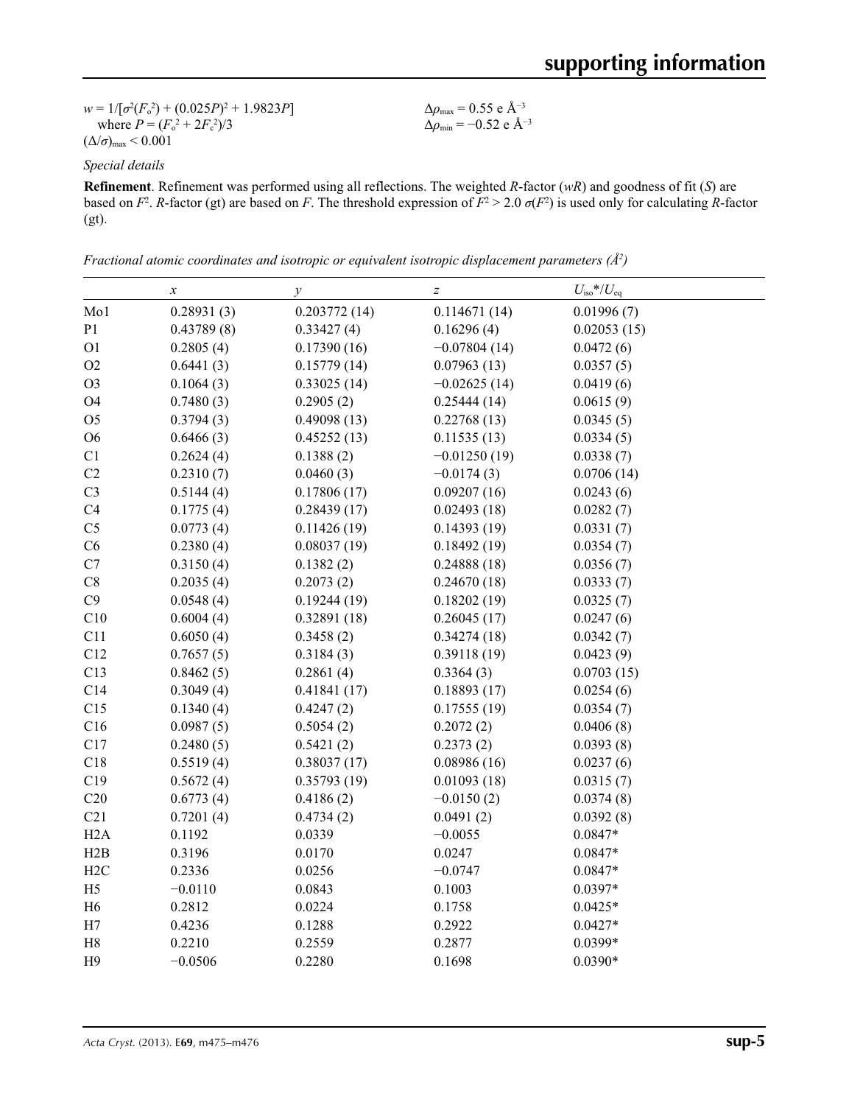| $w = 1/[\sigma^2(F_0^2) + (0.025P)^2 + 1.9823P]$ | $\Delta\rho_{\rm max}$ = 0.55 e Å <sup>-3</sup>  |
|--------------------------------------------------|--------------------------------------------------|
| where $P = (F_o^2 + 2F_c^2)/3$                   | $\Delta\rho_{\rm min}$ = -0.52 e Å <sup>-3</sup> |
| $(\Delta/\sigma)_{\text{max}}$ < 0.001           |                                                  |

#### *Special details*

**Refinement**. Refinement was performed using all reflections. The weighted *R*-factor (*wR*) and goodness of fit (*S*) are based on  $F^2$ . *R*-factor (gt) are based on *F*. The threshold expression of  $F^2 > 2.0 \sigma(F^2)$  is used only for calculating *R*-factor (gt).

*Fractional atomic coordinates and isotropic or equivalent isotropic displacement parameters (Å<sup>2</sup>)* 

|                  | $\boldsymbol{x}$ | $\mathcal{Y}$ | $\overline{z}$ | $U_{\rm iso}{{*}/U_{\rm eq}}$ |  |
|------------------|------------------|---------------|----------------|-------------------------------|--|
| Mo1              | 0.28931(3)       | 0.203772(14)  | 0.114671(14)   | 0.01996(7)                    |  |
| P <sub>1</sub>   | 0.43789(8)       | 0.33427(4)    | 0.16296(4)     | 0.02053(15)                   |  |
| O <sub>1</sub>   | 0.2805(4)        | 0.17390(16)   | $-0.07804(14)$ | 0.0472(6)                     |  |
| O2               | 0.6441(3)        | 0.15779(14)   | 0.07963(13)    | 0.0357(5)                     |  |
| O <sub>3</sub>   | 0.1064(3)        | 0.33025(14)   | $-0.02625(14)$ | 0.0419(6)                     |  |
| O <sub>4</sub>   | 0.7480(3)        | 0.2905(2)     | 0.25444(14)    | 0.0615(9)                     |  |
| O <sub>5</sub>   | 0.3794(3)        | 0.49098(13)   | 0.22768(13)    | 0.0345(5)                     |  |
| O <sub>6</sub>   | 0.6466(3)        | 0.45252(13)   | 0.11535(13)    | 0.0334(5)                     |  |
| C1               | 0.2624(4)        | 0.1388(2)     | $-0.01250(19)$ | 0.0338(7)                     |  |
| C2               | 0.2310(7)        | 0.0460(3)     | $-0.0174(3)$   | 0.0706(14)                    |  |
| C <sub>3</sub>   | 0.5144(4)        | 0.17806(17)   | 0.09207(16)    | 0.0243(6)                     |  |
| C <sub>4</sub>   | 0.1775(4)        | 0.28439(17)   | 0.02493(18)    | 0.0282(7)                     |  |
| C <sub>5</sub>   | 0.0773(4)        | 0.11426(19)   | 0.14393(19)    | 0.0331(7)                     |  |
| C6               | 0.2380(4)        | 0.08037(19)   | 0.18492(19)    | 0.0354(7)                     |  |
| C7               | 0.3150(4)        | 0.1382(2)     | 0.24888(18)    | 0.0356(7)                     |  |
| C8               | 0.2035(4)        | 0.2073(2)     | 0.24670(18)    | 0.0333(7)                     |  |
| C9               | 0.0548(4)        | 0.19244(19)   | 0.18202(19)    | 0.0325(7)                     |  |
| C10              | 0.6004(4)        | 0.32891(18)   | 0.26045(17)    | 0.0247(6)                     |  |
| C11              | 0.6050(4)        | 0.3458(2)     | 0.34274(18)    | 0.0342(7)                     |  |
| C12              | 0.7657(5)        | 0.3184(3)     | 0.39118(19)    | 0.0423(9)                     |  |
| C13              | 0.8462(5)        | 0.2861(4)     | 0.3364(3)      | 0.0703(15)                    |  |
| C14              | 0.3049(4)        | 0.41841(17)   | 0.18893(17)    | 0.0254(6)                     |  |
| C15              | 0.1340(4)        | 0.4247(2)     | 0.17555(19)    | 0.0354(7)                     |  |
| C16              | 0.0987(5)        | 0.5054(2)     | 0.2072(2)      | 0.0406(8)                     |  |
| C17              | 0.2480(5)        | 0.5421(2)     | 0.2373(2)      | 0.0393(8)                     |  |
| C18              | 0.5519(4)        | 0.38037(17)   | 0.08986(16)    | 0.0237(6)                     |  |
| C19              | 0.5672(4)        | 0.35793(19)   | 0.01093(18)    | 0.0315(7)                     |  |
| C20              | 0.6773(4)        | 0.4186(2)     | $-0.0150(2)$   | 0.0374(8)                     |  |
| C21              | 0.7201(4)        | 0.4734(2)     | 0.0491(2)      | 0.0392(8)                     |  |
| H <sub>2</sub> A | 0.1192           | 0.0339        | $-0.0055$      | $0.0847*$                     |  |
| H2B              | 0.3196           | 0.0170        | 0.0247         | $0.0847*$                     |  |
| H2C              | 0.2336           | 0.0256        | $-0.0747$      | $0.0847*$                     |  |
| H <sub>5</sub>   | $-0.0110$        | 0.0843        | 0.1003         | $0.0397*$                     |  |
| H <sub>6</sub>   | 0.2812           | 0.0224        | 0.1758         | $0.0425*$                     |  |
| H7               | 0.4236           | 0.1288        | 0.2922         | $0.0427*$                     |  |
| H <sub>8</sub>   | 0.2210           | 0.2559        | 0.2877         | 0.0399*                       |  |
| H <sub>9</sub>   | $-0.0506$        | 0.2280        | 0.1698         | $0.0390*$                     |  |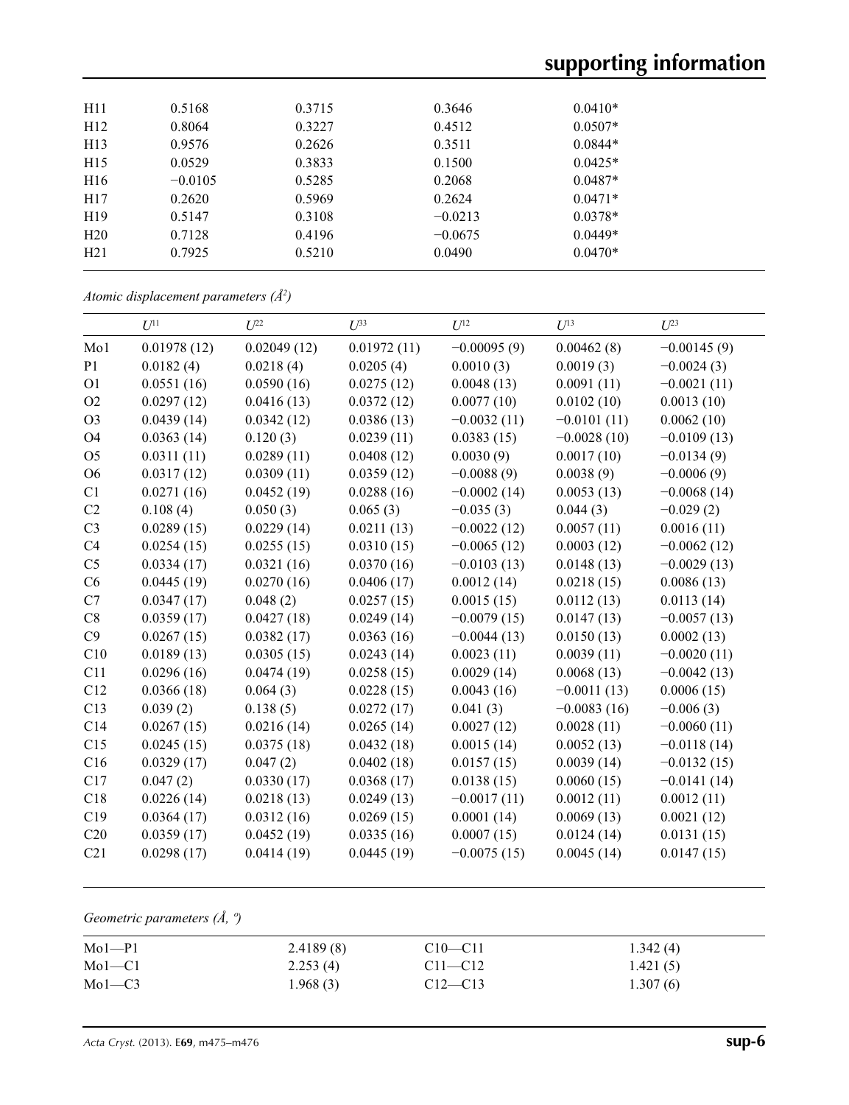# **supporting information**

| H11             | 0.5168    | 0.3715 | 0.3646    | $0.0410*$ |  |
|-----------------|-----------|--------|-----------|-----------|--|
| H12             | 0.8064    | 0.3227 | 0.4512    | $0.0507*$ |  |
| H13             | 0.9576    | 0.2626 | 0.3511    | $0.0844*$ |  |
| H15             | 0.0529    | 0.3833 | 0.1500    | $0.0425*$ |  |
| H16             | $-0.0105$ | 0.5285 | 0.2068    | $0.0487*$ |  |
| H17             | 0.2620    | 0.5969 | 0.2624    | $0.0471*$ |  |
| H <sub>19</sub> | 0.5147    | 0.3108 | $-0.0213$ | $0.0378*$ |  |
| H20             | 0.7128    | 0.4196 | $-0.0675$ | $0.0449*$ |  |
| H21             | 0.7925    | 0.5210 | 0.0490    | $0.0470*$ |  |
|                 |           |        |           |           |  |

*Atomic displacement parameters (Å2 )*

|                | $U^{11}$    | $U^{22}$    | $U^{33}$    | $U^{12}$      | $\mathcal{I}$ <sup>13</sup> | $U^{23}$      |
|----------------|-------------|-------------|-------------|---------------|-----------------------------|---------------|
| Mo1            | 0.01978(12) | 0.02049(12) | 0.01972(11) | $-0.00095(9)$ | 0.00462(8)                  | $-0.00145(9)$ |
| P <sub>1</sub> | 0.0182(4)   | 0.0218(4)   | 0.0205(4)   | 0.0010(3)     | 0.0019(3)                   | $-0.0024(3)$  |
| O <sub>1</sub> | 0.0551(16)  | 0.0590(16)  | 0.0275(12)  | 0.0048(13)    | 0.0091(11)                  | $-0.0021(11)$ |
| O <sub>2</sub> | 0.0297(12)  | 0.0416(13)  | 0.0372(12)  | 0.0077(10)    | 0.0102(10)                  | 0.0013(10)    |
| O <sub>3</sub> | 0.0439(14)  | 0.0342(12)  | 0.0386(13)  | $-0.0032(11)$ | $-0.0101(11)$               | 0.0062(10)    |
| O <sub>4</sub> | 0.0363(14)  | 0.120(3)    | 0.0239(11)  | 0.0383(15)    | $-0.0028(10)$               | $-0.0109(13)$ |
| O <sub>5</sub> | 0.0311(11)  | 0.0289(11)  | 0.0408(12)  | 0.0030(9)     | 0.0017(10)                  | $-0.0134(9)$  |
| O <sub>6</sub> | 0.0317(12)  | 0.0309(11)  | 0.0359(12)  | $-0.0088(9)$  | 0.0038(9)                   | $-0.0006(9)$  |
| C1             | 0.0271(16)  | 0.0452(19)  | 0.0288(16)  | $-0.0002(14)$ | 0.0053(13)                  | $-0.0068(14)$ |
| C2             | 0.108(4)    | 0.050(3)    | 0.065(3)    | $-0.035(3)$   | 0.044(3)                    | $-0.029(2)$   |
| C <sub>3</sub> | 0.0289(15)  | 0.0229(14)  | 0.0211(13)  | $-0.0022(12)$ | 0.0057(11)                  | 0.0016(11)    |
| C4             | 0.0254(15)  | 0.0255(15)  | 0.0310(15)  | $-0.0065(12)$ | 0.0003(12)                  | $-0.0062(12)$ |
| C <sub>5</sub> | 0.0334(17)  | 0.0321(16)  | 0.0370(16)  | $-0.0103(13)$ | 0.0148(13)                  | $-0.0029(13)$ |
| C6             | 0.0445(19)  | 0.0270(16)  | 0.0406(17)  | 0.0012(14)    | 0.0218(15)                  | 0.0086(13)    |
| C7             | 0.0347(17)  | 0.048(2)    | 0.0257(15)  | 0.0015(15)    | 0.0112(13)                  | 0.0113(14)    |
| C8             | 0.0359(17)  | 0.0427(18)  | 0.0249(14)  | $-0.0079(15)$ | 0.0147(13)                  | $-0.0057(13)$ |
| C9             | 0.0267(15)  | 0.0382(17)  | 0.0363(16)  | $-0.0044(13)$ | 0.0150(13)                  | 0.0002(13)    |
| C10            | 0.0189(13)  | 0.0305(15)  | 0.0243(14)  | 0.0023(11)    | 0.0039(11)                  | $-0.0020(11)$ |
| C11            | 0.0296(16)  | 0.0474(19)  | 0.0258(15)  | 0.0029(14)    | 0.0068(13)                  | $-0.0042(13)$ |
| C12            | 0.0366(18)  | 0.064(3)    | 0.0228(15)  | 0.0043(16)    | $-0.0011(13)$               | 0.0006(15)    |
| C13            | 0.039(2)    | 0.138(5)    | 0.0272(17)  | 0.041(3)      | $-0.0083(16)$               | $-0.006(3)$   |
| C14            | 0.0267(15)  | 0.0216(14)  | 0.0265(14)  | 0.0027(12)    | 0.0028(11)                  | $-0.0060(11)$ |
| C15            | 0.0245(15)  | 0.0375(18)  | 0.0432(18)  | 0.0015(14)    | 0.0052(13)                  | $-0.0118(14)$ |
| C16            | 0.0329(17)  | 0.047(2)    | 0.0402(18)  | 0.0157(15)    | 0.0039(14)                  | $-0.0132(15)$ |
| C17            | 0.047(2)    | 0.0330(17)  | 0.0368(17)  | 0.0138(15)    | 0.0060(15)                  | $-0.0141(14)$ |
| C18            | 0.0226(14)  | 0.0218(13)  | 0.0249(13)  | $-0.0017(11)$ | 0.0012(11)                  | 0.0012(11)    |
| C19            | 0.0364(17)  | 0.0312(16)  | 0.0269(15)  | 0.0001(14)    | 0.0069(13)                  | 0.0021(12)    |
| C20            | 0.0359(17)  | 0.0452(19)  | 0.0335(16)  | 0.0007(15)    | 0.0124(14)                  | 0.0131(15)    |
| C21            | 0.0298(17)  | 0.0414(19)  | 0.0445(19)  | $-0.0075(15)$ | 0.0045(14)                  | 0.0147(15)    |

#### *Geometric parameters (Å, º)*

| $Mo1-P1$     | 2.4189(8) | $C10 - C11$ | 1.342(4) |
|--------------|-----------|-------------|----------|
| $Mol$ - $Cl$ | 2.253(4)  | $C11 - C12$ | 1.421(5) |
| $Mol-C3$     | 1.968(3)  | $C12 - C13$ | 1.307(6) |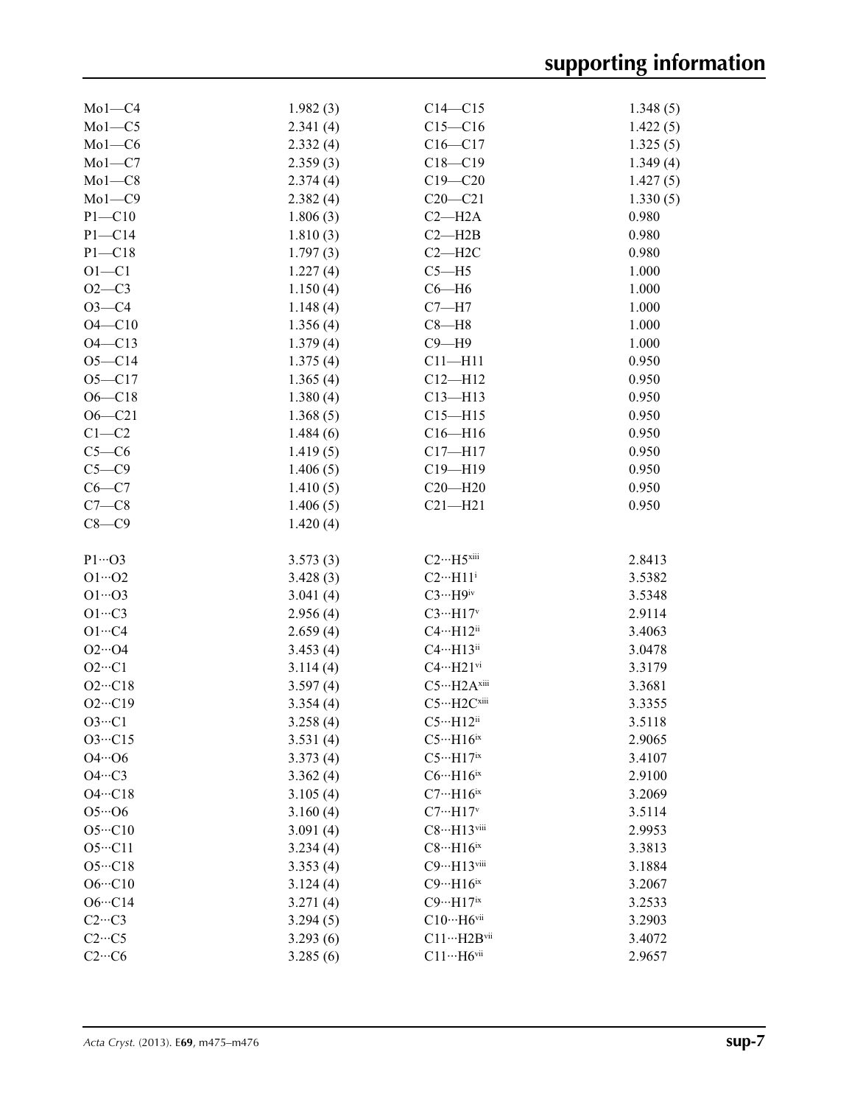| $Mol$ – $C4$               | 1.982(3) | $C14 - C15$                              | 1.348(5) |
|----------------------------|----------|------------------------------------------|----------|
| $Mo1-C5$                   | 2.341(4) | $C15 - C16$                              | 1.422(5) |
| $Mo1-C6$                   | 2.332(4) | $C16 - C17$                              | 1.325(5) |
| $Mo1-C7$                   | 2.359(3) | $C18 - C19$                              | 1.349(4) |
| $Mo1-C8$                   | 2.374(4) | $C19 - C20$                              | 1.427(5) |
| $Mo1-C9$                   | 2.382(4) | $C20-C21$                                | 1.330(5) |
| $P1 - C10$                 | 1.806(3) | $C2 - H2A$                               | 0.980    |
| $P1 - C14$                 | 1.810(3) | $C2 - H2B$                               | 0.980    |
| $P1 - C18$                 | 1.797(3) | $C2 - H2C$                               | 0.980    |
| $O1 - C1$                  | 1.227(4) | $C5 - H5$                                | 1.000    |
| $O2-C3$                    | 1.150(4) | $C6 - H6$                                | 1.000    |
| $O3 - C4$                  | 1.148(4) | $C7 - H7$                                | 1.000    |
| $O4 - C10$                 | 1.356(4) | $C8 - H8$                                | 1.000    |
| $O4 - C13$                 |          | $C9 - H9$                                | 1.000    |
|                            | 1.379(4) |                                          |          |
| $O5 - C14$                 | 1.375(4) | $C11 - H11$                              | 0.950    |
| $O5 - C17$                 | 1.365(4) | $C12 - H12$                              | 0.950    |
| $O6 - C18$                 | 1.380(4) | $C13 - H13$                              | 0.950    |
| $O6 - C21$                 | 1.368(5) | $C15 - H15$                              | 0.950    |
| $C1-C2$                    | 1.484(6) | $C16 - H16$                              | 0.950    |
| $C5-C6$                    | 1.419(5) | $C17 - H17$                              | 0.950    |
| $C5 - C9$                  | 1.406(5) | $C19 - H19$                              | 0.950    |
| $C6-C7$                    | 1.410(5) | $C20 - H20$                              | 0.950    |
| $C7-C8$                    | 1.406(5) | $C21 - H21$                              | 0.950    |
| $C8-C9$                    | 1.420(4) |                                          |          |
| $P1 \cdots O3$             | 3.573(3) | $C2 \cdots H5^{xiii}$                    | 2.8413   |
| $O1 \cdots O2$             | 3.428(3) | $C2 \cdot \cdot \cdot H11$ <sup>i</sup>  | 3.5382   |
| $O1 \cdots O3$             | 3.041(4) | $C3 \cdots H9$ iv                        | 3.5348   |
| $O1 \cdot \cdot \cdot C3$  | 2.956(4) | $C3 \cdots H17$                          | 2.9114   |
| $O1 \cdots C4$             | 2.659(4) | $C4 \cdots H12$ ii                       | 3.4063   |
| $O2 \cdot 04$              | 3.453(4) | $C4 \cdots H13$ <sup>ii</sup>            | 3.0478   |
| $O2 \cdot \cdot \cdot Cl$  | 3.114(4) | $C4 \cdots H21$ <sup>vi</sup>            | 3.3179   |
| $O2 \cdot \cdot \cdot C18$ | 3.597(4) | $C5 \cdots H2A^{xiii}$                   | 3.3681   |
| $O2 \cdot \cdot \cdot C19$ | 3.354(4) | C5…H2Cxiii                               | 3.3355   |
| $O3 \cdot \cdot \cdot C1$  | 3.258(4) | $C5 \cdot \cdot \cdot H12^{ii}$          | 3.5118   |
| $O3 \cdot \cdot \cdot Cl5$ | 3.531(4) | $C5 \cdot \cdot \cdot H16$ <sup>ix</sup> | 2.9065   |
| $O4 \cdot 06$              | 3.373(4) | $C5 \cdot \cdot \cdot H17$ <sup>ix</sup> | 3.4107   |
| $O4 \cdot \cdot \cdot C3$  | 3.362(4) | $C6 \cdot \cdot \cdot H16$ <sup>ix</sup> | 2.9100   |
| $O4 \cdot \cdot \cdot Cl8$ | 3.105(4) | $C7 \cdot \cdot \cdot H16$ <sup>ix</sup> | 3.2069   |
| $O5 \cdot 06$              | 3.160(4) | $C7 \cdot \cdot \cdot H17$ <sup>v</sup>  | 3.5114   |
| $O5 \cdot \cdot \cdot C10$ | 3.091(4) | C8…H13viii                               | 2.9953   |
| $O5 \cdot \cdot \cdot C11$ | 3.234(4) | $C8 \cdot \cdot \cdot H16$ <sup>ix</sup> | 3.3813   |
| $O5 \cdot \cdot \cdot C18$ | 3.353(4) | C9…H13viii                               | 3.1884   |
| $O6 \cdot \cdot \cdot C10$ | 3.124(4) | $C9 \cdot \cdot \cdot H16$ <sup>ix</sup> | 3.2067   |
| $O6 \cdot \cdot \cdot C14$ |          | $C9 \cdot \cdot \cdot H17$ <sup>ix</sup> | 3.2533   |
| $C2 \cdots C3$             | 3.271(4) | $C10 \cdots H6$ vii                      | 3.2903   |
|                            | 3.294(5) |                                          |          |
| $C2 \cdots C5$             | 3.293(6) | $C11\cdots H2B$ vii                      | 3.4072   |
| $C2 \cdots C6$             | 3.285(6) | $C11\cdots H6$ vii                       | 2.9657   |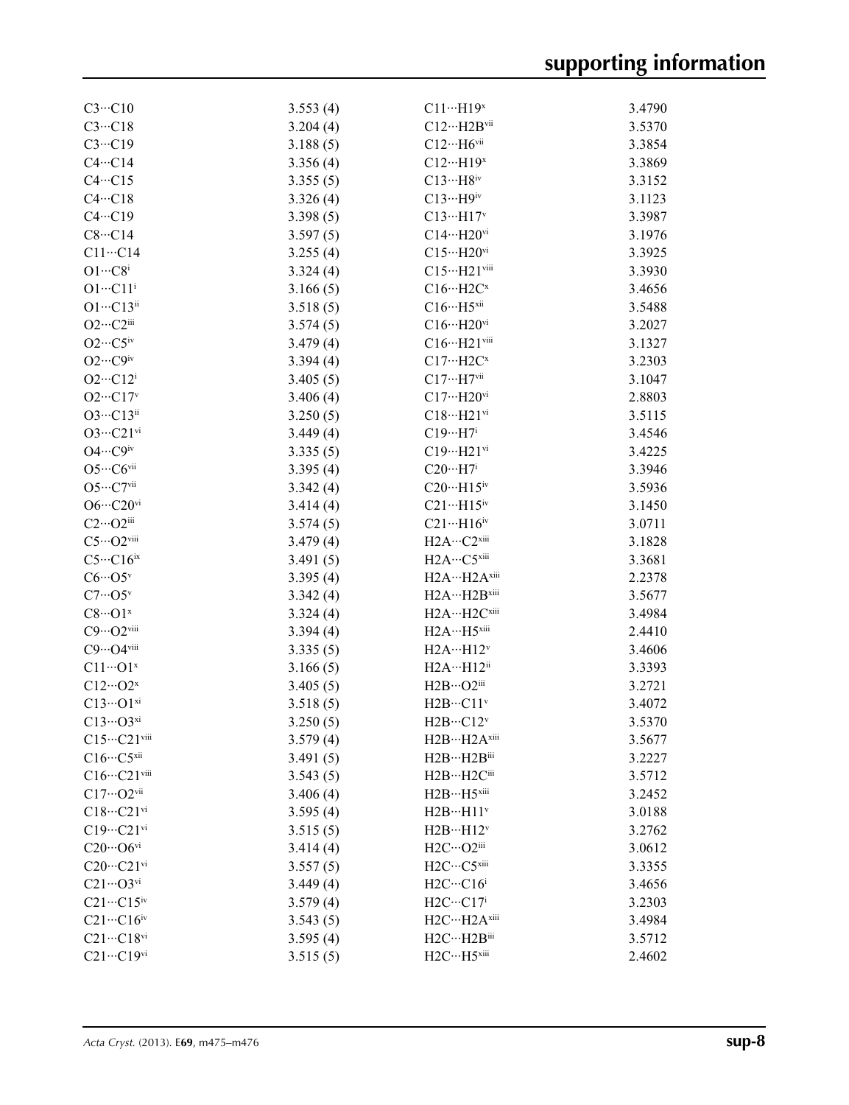| $C3 \cdot C10$                           | 3.553(4) | $C11 \cdots H19$ <sup>x</sup>           | 3.4790 |
|------------------------------------------|----------|-----------------------------------------|--------|
| $C3 \cdots C18$                          | 3.204(4) | $C12 \cdots H2B$ vii                    | 3.5370 |
| $C3 \cdots C19$                          | 3.188(5) | $C12\cdots H6$ vii                      | 3.3854 |
| $C4 \cdots C14$                          | 3.356(4) | $C12 \cdots H19$ <sup>x</sup>           | 3.3869 |
| $C4 \cdots C15$                          | 3.355(5) | $C13 \cdots H8$ iv                      | 3.3152 |
| $C4 \cdot \cdot \cdot C18$               | 3.326(4) | $C13 \cdots H9$ <sup>iv</sup>           | 3.1123 |
| $C4 \cdots C19$                          | 3.398(5) | $C13 \cdots H17$ <sup>v</sup>           | 3.3987 |
| $C8 \cdots C14$                          | 3.597(5) | $C14 \cdots H20$ <sup>vi</sup>          | 3.1976 |
| $C11 \cdots C14$                         | 3.255(4) | $C15 \cdots H20$ <sup>vi</sup>          | 3.3925 |
| $O1 \cdots C8$                           | 3.324(4) | $C15\cdots H21$ <sup>viii</sup>         | 3.3930 |
| $O1 \cdots C11$ <sup>i</sup>             | 3.166(5) | $C16\cdots H2C^{x}$                     | 3.4656 |
| $O1 \cdot \cdot \cdot C13$ <sup>ii</sup> | 3.518(5) | $C16 \cdots H5^{xii}$                   | 3.5488 |
| $O2 \cdots C2$ iii                       | 3.574(5) | $C16\cdots H20$ <sup>vi</sup>           | 3.2027 |
| $O2 \cdots C5$ iv                        | 3.479(4) | $C16\cdots H21$ viii                    | 3.1327 |
| $O2 \cdots C9$ iv                        | 3.394(4) | $C17 \cdots H2C^x$                      | 3.2303 |
| $O2 \cdot \cdot \cdot C12^i$             | 3.405(5) | $C17 \cdots H7$ vii                     | 3.1047 |
| $O2 \cdot \cdot \cdot C17$ <sup>v</sup>  | 3.406(4) | $C17 \cdots H20$ <sup>vi</sup>          | 2.8803 |
| $O3 \cdot \cdot \cdot C13$ <sup>ii</sup> | 3.250(5) | $C18 \cdots H21$ <sup>vi</sup>          | 3.5115 |
| $O3 \cdots C21$ <sup>vi</sup>            | 3.449(4) | $C19 \cdot \cdot \cdot H7$ <sup>i</sup> | 3.4546 |
| $O4 \cdots C9$ iv                        | 3.335(5) | $C19 \cdots H21$ <sup>vi</sup>          | 3.4225 |
| $O5 \cdots CO$ <sup>vii</sup>            | 3.395(4) | $C20 \cdots H7$ <sup>i</sup>            | 3.3946 |
| $O5 \cdots C7$ vii                       |          | $C20 \cdots H15$ iv                     | 3.5936 |
| $O6 \cdots C20$ <sup>vi</sup>            | 3.342(4) | $C21 \cdots H15$ iv                     | 3.1450 |
|                                          | 3.414(4) |                                         |        |
| $C2 \cdots O2$ <sup>iii</sup>            | 3.574(5) | $C21 \cdots H16$ iv                     | 3.0711 |
| $C5\cdots O2$ viii                       | 3.479(4) | H <sub>2</sub> A···C <sub>2</sub> xiii  | 3.1828 |
| $C5 \cdots C16$ <sup>ix</sup>            | 3.491(5) | $H2A\cdots C5^{xiii}$                   | 3.3681 |
| $C6\cdots O5v$                           | 3.395(4) | H <sub>2A</sub> ···H <sub>2A</sub> xiii | 2.2378 |
| $C7 \cdots O5^v$                         | 3.342(4) | $H2A \cdots H2B$ <sup>xiii</sup>        | 3.5677 |
| $C8\cdots O1^x$                          | 3.324(4) | $H2A \cdots H2C$ <sup>xiii</sup>        | 3.4984 |
| $C9\cdots O2$ viii                       | 3.394(4) | $H2A \cdots H5^{xiii}$                  | 2.4410 |
| $C9 \cdots O4$ viii                      | 3.335(5) | $H2A \cdots H12^v$                      | 3.4606 |
| $C11\cdots O1^{x}$                       | 3.166(5) | $H2A \cdots H12$ <sup>ii</sup>          | 3.3393 |
| $C12\cdots O2^{x}$                       | 3.405(5) | $H2B\cdots O2$ <sup>iii</sup>           | 3.2721 |
| $C13\cdots O1^{xi}$                      | 3.518(5) | $H2B\cdots C11^v$                       | 3.4072 |
| $C13\cdots O3^{xi}$                      | 3.250(5) | $H2B\cdots C12^v$                       | 3.5370 |
| $C15\cdots C21$ viii                     | 3.579(4) | $H2B\cdots H2A^{xiii}$                  | 3.5677 |
| $C16\cdots C5^{xii}$                     | 3.491(5) | $H2B\cdots H2B$ iii                     | 3.2227 |
| C16…C21viii                              | 3.543(5) | H2B…H2Ciii                              | 3.5712 |
| $C17\cdots O2$ vii                       | 3.406(4) | $H2BH5$ xiii                            | 3.2452 |
| $C18\cdots C21$ <sup>vi</sup>            | 3.595(4) | $H2B\cdots H11^v$                       | 3.0188 |
| $C19\cdots C21$ <sup>vi</sup>            | 3.515(5) | $H2B\cdots H12^v$                       | 3.2762 |
| $C20\cdots$ O6vi                         | 3.414(4) | H2C…O2iii                               | 3.0612 |
| $C20\cdots C21$ <sup>vi</sup>            | 3.557(5) | $H2C\cdots C5^{xiii}$                   | 3.3355 |
| $C21\cdots O3$ <sup>vi</sup>             | 3.449(4) | $H2C \cdots C16^i$                      | 3.4656 |
| $C21 \cdots C15$ <sup>iv</sup>           | 3.579(4) | $H2C\cdots C17$ <sup>i</sup>            | 3.2303 |
| $C21 \cdots C16$ iv                      | 3.543(5) | H2C…H2Axiii                             | 3.4984 |
| $C21 \cdots C18$ <sup>vi</sup>           | 3.595(4) | $H2C \cdots H2B$ <sup>iii</sup>         | 3.5712 |
| $C21 \cdots C19$ <sup>vi</sup>           | 3.515(5) | H2C…H5xiii                              | 2.4602 |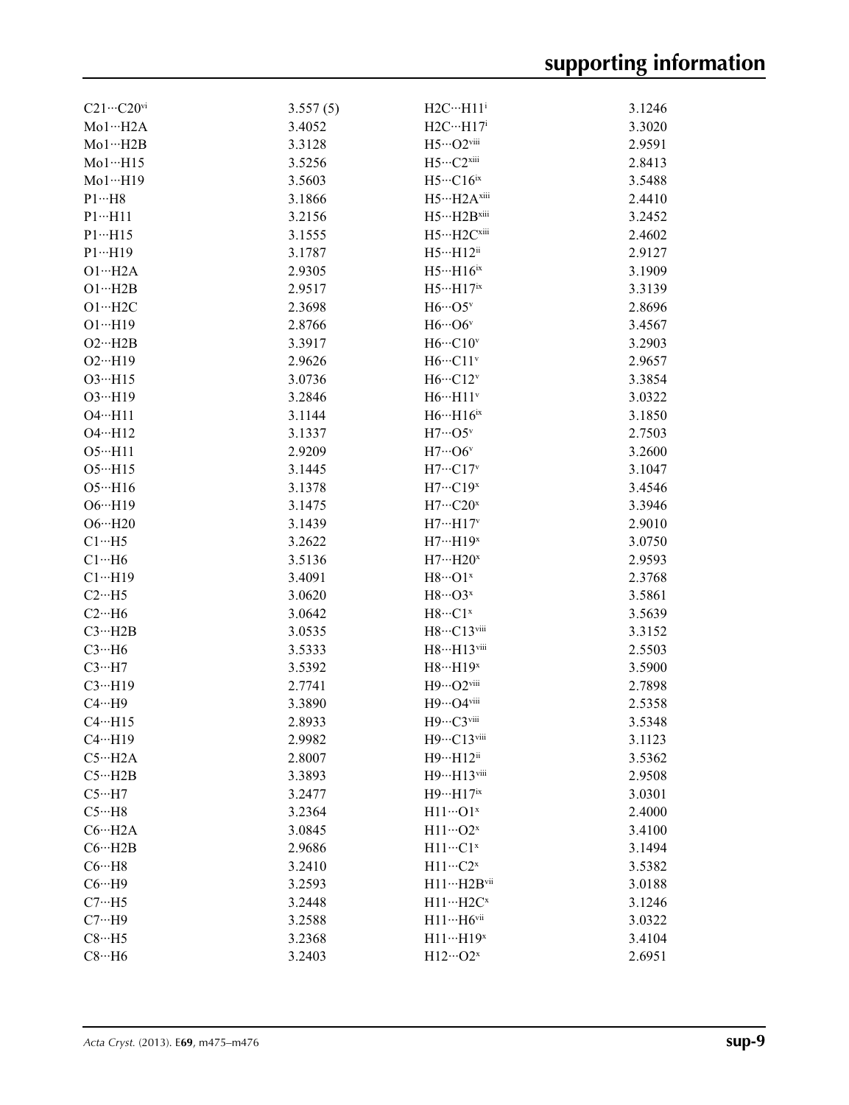| $C21 \cdots C20$ <sup>vi</sup> | 3.557(5) | $H2C \cdots H11$ <sup>i</sup> | 3.1246           |
|--------------------------------|----------|-------------------------------|------------------|
| Mo1…H2A                        | 3.4052   | $H2C \cdots H17$ <sup>i</sup> | 3.3020           |
| $Mo1 \cdots H2B$               | 3.3128   | $H5\cdots O2$ viii            | 2.9591           |
| $Mo1 \cdots H15$               | 3.5256   | $H5\cdots C2^{xiii}$          | 2.8413           |
| $Mo1 \cdots H19$               | 3.5603   | $H5\cdots C16^{ix}$           | 3.5488           |
| $P1 \cdots H8$                 | 3.1866   | H5…H2Axiii                    | 2.4410           |
| $P1 \cdots H11$                | 3.2156   | H5…H2Bxiii                    | 3.2452           |
| $P1 \cdots H15$                | 3.1555   | H5…H2Cxiii                    | 2.4602           |
| $P1 \cdots H19$                | 3.1787   | $H5 \cdots H12$ <sup>ii</sup> | 2.9127           |
| $O1 \cdot \cdot \cdot H2A$     | 2.9305   | $H5 \cdots H16$ <sup>ix</sup> | 3.1909           |
| $O1 \cdot \cdot \cdot H2B$     | 2.9517   | $H5 \cdots H17$ <sup>ix</sup> | 3.3139           |
| $O1 \cdot \cdot \cdot H2C$     | 2.3698   | $H6\cdots$ O5 <sup>v</sup>    | 2.8696           |
| $O1 \cdot \cdot \cdot H19$     | 2.8766   | $H6\cdots$ O6 <sup>v</sup>    | 3.4567           |
| $O2 \cdot \cdot \cdot H2B$     | 3.3917   | $H6\cdots C10^v$              | 3.2903           |
| $O2 \cdot \cdot \cdot H19$     | 2.9626   | $H6\cdots C11v$               | 2.9657           |
| $O3 \cdot \cdot \cdot H15$     | 3.0736   | $H6\cdots C12v$               | 3.3854           |
| $O3 \cdot \cdot \cdot H19$     | 3.2846   | $H6 \cdots H11$ <sup>v</sup>  | 3.0322           |
| $O4 \cdot \cdot \cdot H11$     | 3.1144   | $H6 \cdots H16$ <sup>ix</sup> | 3.1850           |
| $O4 \cdot \cdot \cdot H12$     | 3.1337   | $H7\cdots$ O5 <sup>v</sup>    | 2.7503           |
|                                |          |                               |                  |
| $O5 \cdot \cdot \cdot H11$     | 2.9209   | $H7\cdots$ O6 <sup>v</sup>    | 3.2600           |
| $O5 \cdot \cdot \cdot H15$     | 3.1445   | $H7 \cdots C17$ <sup>v</sup>  | 3.1047           |
| $O5 \cdot \cdot \cdot H16$     | 3.1378   | $H7 \cdots C19$ <sup>x</sup>  | 3.4546           |
| $O6 \cdot \cdot \cdot H19$     | 3.1475   | $H7\cdot \cdot \cdot C20^x$   | 3.3946           |
| $O6 \cdot \cdot \cdot H20$     | 3.1439   | $H7 \cdots H17$               | 2.9010           |
| $C1 \cdots H5$                 | 3.2622   | $H7 \cdots H19$ <sup>x</sup>  | 3.0750           |
| $C1 \cdots H6$                 | 3.5136   | $H7 \cdots H20^x$             | 2.9593           |
| Cl··H19                        | 3.4091   | $H8\cdots O1^{x}$             | 2.3768           |
| $C2 \cdot \cdot \cdot$ H5      | 3.0620   | $H8\cdots$ O3 <sup>x</sup>    | 3.5861           |
| $C2 \cdot \cdot \cdot$ H6      | 3.0642   | $H8\cdots C1^{x}$             | 3.5639           |
| $C3 \cdot \cdot \cdot H2B$     | 3.0535   | H8…C13viii                    | 3.3152           |
| $C3 \cdots H6$                 | 3.5333   | H8…H13viii                    | 2.5503           |
| $C3 \cdot \cdot \cdot H7$      | 3.5392   | $H8\cdots H19x$               | 3.5900           |
| $C3 \cdot \cdot \cdot H19$     | 2.7741   | $H9\cdots O2$ viii            | 2.7898           |
| $C4 \cdots H9$                 | 3.3890   | H9…O4viii                     | 2.5358           |
| $C4 \cdot \cdot \cdot H15$     | 2.8933   | H9…C3viii                     | 3.5348           |
| $C4 \cdot \cdot \cdot H19$     | 2.9982   | H9…C13viii                    | 3.1123           |
| $C5 \cdot \cdot \cdot H2A$     | 2.8007   | $H9 \cdots H12$ <sup>ii</sup> | 3.5362           |
| $C5 \cdot \cdot \cdot H2B$     | 3.3893   | H9…H13viii                    | 2.9508           |
| $C5 \cdot \cdot \cdot H7$      | 3.2477   | $H9 \cdots H17$ <sup>ix</sup> | 3.0301           |
| $C5 \cdot \cdot \cdot H8$      | 3.2364   | $H11\cdots O1^{x}$            | 2.4000           |
| $C6 \cdots H2A$                | 3.0845   | $H11\cdots O2^x$              | 3.4100           |
| $C6 \cdots H2B$                | 2.9686   | $H11 \cdots C1^x$             | 3.1494           |
| $C6 \cdot \cdot \cdot H8$      | 3.2410   | $H11\cdots C2^{x}$            | 3.5382           |
| $C6 \cdot \cdot H9$            | 3.2593   | $H11 \cdots H2B$ vii          | 3.0188           |
| $C7 \cdot \cdot \cdot H5$      | 3.2448   | $H11 \cdots H2C^x$            |                  |
| $C7 \cdot \cdot \cdot H9$      | 3.2588   | $H11 \cdots H6$ vii           | 3.1246<br>3.0322 |
|                                |          |                               |                  |
| $C8 \cdot \cdot \cdot H5$      | 3.2368   | $H11\cdots H19^x$             | 3.4104           |
| $C8 \cdot \cdot \cdot H6$      | 3.2403   | $H12\cdots O2^{x}$            | 2.6951           |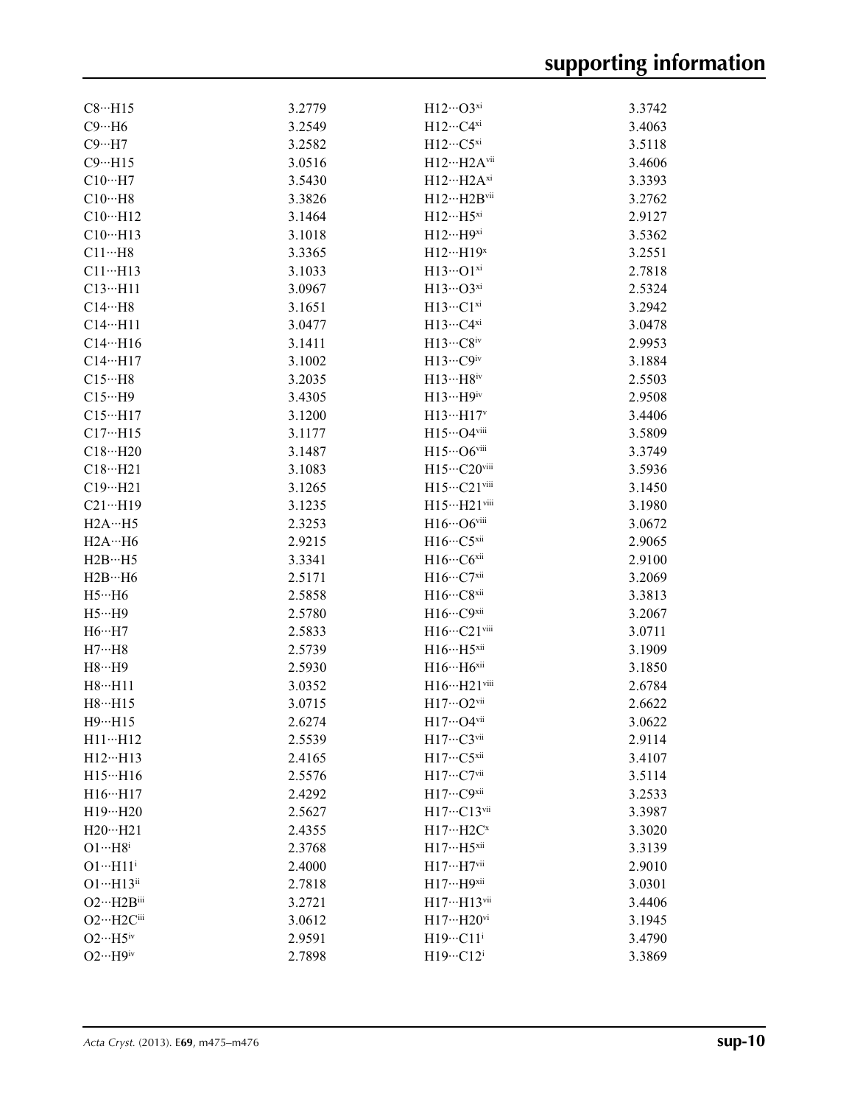| $C8 \cdot \cdot \cdot H15$               | 3.2779 | $H12\cdots O3^{xi}$              | 3.3742 |
|------------------------------------------|--------|----------------------------------|--------|
| $C9 \cdot \cdot \cdot H6$                | 3.2549 | H12…C4 <sup>xi</sup>             | 3.4063 |
| $C9 \cdots H7$                           | 3.2582 | H12…C5 <sup>xi</sup>             | 3.5118 |
| $C9 \cdot \cdot \cdot H15$               | 3.0516 | H12…H2Avii                       | 3.4606 |
| $C10 \cdots H7$                          | 3.5430 | $H12\cdots H2A^{xi}$             | 3.3393 |
| $C10 \cdots H8$                          | 3.3826 | $H12\cdots H2B$ vii              | 3.2762 |
| $C10 \cdots H12$                         | 3.1464 | $H12 \cdots H5^{xi}$             | 2.9127 |
| $C10 \cdots H13$                         | 3.1018 | $H12 \cdots H9^{xi}$             | 3.5362 |
| $C11 \cdots H8$                          | 3.3365 | $H12\cdots H19x$                 | 3.2551 |
| $C11 \cdots H13$                         | 3.1033 | $H13\cdots O1^{xi}$              | 2.7818 |
| $C13 \cdot \cdot \cdot H11$              | 3.0967 | $H13\cdots$ O3 <sup>xi</sup>     | 2.5324 |
| $C14 \cdots H8$                          | 3.1651 | $H13\cdots C1^{xi}$              | 3.2942 |
| $C14 \cdot \cdot \cdot H11$              | 3.0477 | $H13\cdots C4^{xi}$              | 3.0478 |
| $C14 \cdot \cdot \cdot H16$              | 3.1411 | $H13\cdots C8$ iv                | 2.9953 |
| $C14 \cdots H17$                         | 3.1002 | $H13\cdots C9$ iv                | 3.1884 |
| $C15\cdot\cdot\cdot$ H8                  | 3.2035 | $H13\cdots H8^{\rm iv}$          | 2.5503 |
| $C15\cdots H9$                           | 3.4305 | $H13 \cdots H9$ iv               | 2.9508 |
| $C15 \cdots H17$                         | 3.1200 | $H13 \cdots H17$ <sup>v</sup>    | 3.4406 |
| $C17 \cdots H15$                         | 3.1177 | $H15\cdots$ O4viii               | 3.5809 |
| $C18 \cdots H20$                         | 3.1487 | H15…O6viii                       | 3.3749 |
| $C18 \cdots H21$                         | 3.1083 | H15…C20viii                      | 3.5936 |
| $C19 \cdots H21$                         | 3.1265 | H15…C21viii                      | 3.1450 |
| $C21 \cdots H19$                         | 3.1235 | H15…H21viii                      | 3.1980 |
| $H2A \cdots H5$                          | 2.3253 | $H16\cdots$ O6viii               | 3.0672 |
| $H2A \cdots H6$                          | 2.9215 | H16…C5 <sup>xii</sup>            | 2.9065 |
| H2BH5                                    | 3.3341 | $H16\cdots C6^{xii}$             | 2.9100 |
| $H2B\cdots H6$                           | 2.5171 | $H16\cdots C7^{xii}$             | 3.2069 |
| $H5\cdots H6$                            | 2.5858 | H16…C8xii                        | 3.3813 |
| $H5 \cdots H9$                           | 2.5780 | H16…C9xii                        | 3.2067 |
| $H6 \cdots H7$                           | 2.5833 | H16…C21viii                      | 3.0711 |
| $H7 \cdots H8$                           | 2.5739 | $H16\cdots H5^{xii}$             | 3.1909 |
| $H8 \cdots H9$                           | 2.5930 | $H16\cdots H6^{xii}$             | 3.1850 |
| $H8 \cdots H11$                          | 3.0352 | $H16 \cdots H21$ <sup>viii</sup> | 2.6784 |
| H8…H15                                   | 3.0715 | $H17\cdots$ O2vii                | 2.6622 |
| H9…H15                                   | 2.6274 | H17…O4vii                        | 3.0622 |
| $H11 \cdots H12$                         | 2.5539 | $H17\cdots C3$ <sup>vii</sup>    | 2.9114 |
| $H12 \cdots H13$                         | 2.4165 | $H17\cdots C5^{xii}$             | 3.4107 |
| $H15\cdots H16$                          | 2.5576 | $H17\cdots C7$ <sup>vii</sup>    | 3.5114 |
| $H16 \cdots H17$                         | 2.4292 | $H17\cdots C9$ xii               | 3.2533 |
| $H19 \cdots H20$                         | 2.5627 | H17…C13vii                       | 3.3987 |
| $H20 \cdots H21$                         | 2.4355 | $H17 \cdots H2C^{x}$             | 3.3020 |
| $O1 \cdots H8$ <sup>i</sup>              | 2.3768 | $H17 \cdots H5$ <sup>xii</sup>   | 3.3139 |
| $O1 \cdot \cdot \cdot H11^i$             | 2.4000 | $H17 \cdots H7$ vii              | 2.9010 |
| $O1 \cdot \cdot \cdot H13$ <sup>ii</sup> | 2.7818 | $H17 \cdots H9$ xii              | 3.0301 |
| $O2 \cdot \cdot \cdot H2B$ iii           | 3.2721 | H17…H13vii                       | 3.4406 |
| O <sub>2</sub> ···H <sub>2Ciii</sub>     | 3.0612 | $H17 \cdots H20$ <sup>vi</sup>   | 3.1945 |
| $O2 \cdot \cdot \cdot H5$ <sup>iv</sup>  | 2.9591 | $H19 \cdots C11$ <sup>i</sup>    | 3.4790 |
| $O2 \cdots H9$ iv                        | 2.7898 | H19···C12 <sup>i</sup>           | 3.3869 |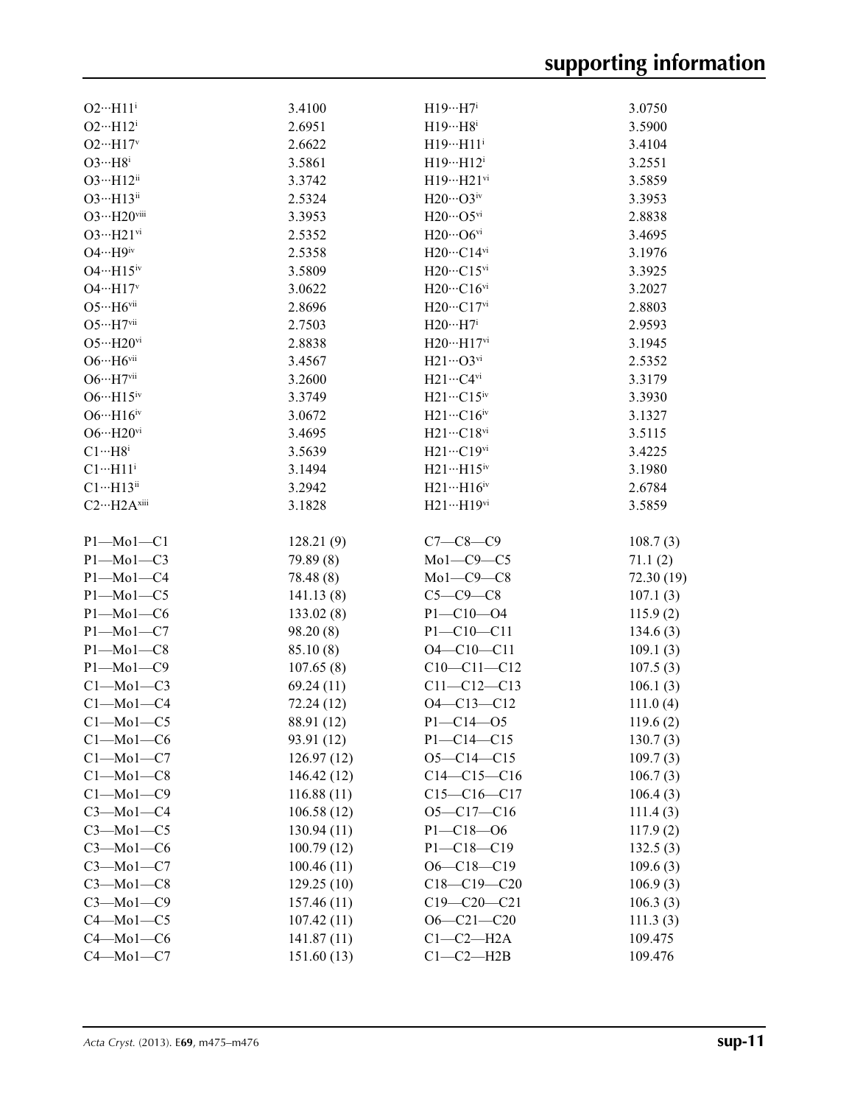| $O2 \cdot \cdot \cdot H11$ <sup>i</sup>  | 3.4100      | $H19 \cdots H7$ <sup>i</sup>   | 3.0750     |
|------------------------------------------|-------------|--------------------------------|------------|
| $O2 \cdot \cdot \cdot H12^i$             | 2.6951      | $H19 \cdots H8$ <sup>i</sup>   | 3.5900     |
| $O2 \cdot \cdot \cdot H17$ <sup>v</sup>  | 2.6622      | H19···H11 <sup>i</sup>         | 3.4104     |
| $O3 \cdot \cdot \cdot H8^i$              | 3.5861      | H19···H12 <sup>i</sup>         | 3.2551     |
| $O3 \cdot \cdot \cdot H12$ <sup>ii</sup> | 3.3742      | $H19 \cdots H21$ <sup>vi</sup> | 3.5859     |
| O3…H13ii                                 | 2.5324      | $H20\cdots O3$ iv              | 3.3953     |
| O3…H20viii                               | 3.3953      | $H20\cdots$ O5vi               | 2.8838     |
| $O3 \cdot \cdot \cdot H21$ <sup>vi</sup> | 2.5352      | $H20\cdots$ O6vi               | 3.4695     |
| $O4 \cdots H9$ iv                        | 2.5358      | $H20\cdots C14$ <sup>vi</sup>  | 3.1976     |
| $O4 \cdot \cdot \cdot H15$ iv            | 3.5809      | $H20\cdots C15$ <sup>vi</sup>  | 3.3925     |
| $O4 \cdot \cdot \cdot H17$ <sup>v</sup>  | 3.0622      | $H20\cdots C16$ <sup>vi</sup>  | 3.2027     |
| $O5 \cdot \cdot \cdot H6$ <sup>vii</sup> | 2.8696      | $H20\cdots C17$ <sup>vi</sup>  | 2.8803     |
| $O5 \cdots H7$ vii                       | 2.7503      | $H20 \cdots H7$ <sup>i</sup>   | 2.9593     |
| $O5 \cdot \cdot \cdot H20$ <sup>vi</sup> | 2.8838      | $H20 \cdots H17$ <sup>vi</sup> | 3.1945     |
| $O6 \cdot \cdot \cdot H6$ vii            | 3.4567      | $H21\cdots O3$ <sup>vi</sup>   | 2.5352     |
| $O6 \cdots H7$ vii                       | 3.2600      | $H21 \cdots C4$ <sup>vi</sup>  | 3.3179     |
| $O6 \cdot \cdot \cdot H15$ <sup>iv</sup> | 3.3749      | $H21 \cdots C15$ iv            | 3.3930     |
| $O6 \cdot \cdot \cdot H16$ iv            | 3.0672      | $H21 \cdots C16$ iv            | 3.1327     |
| $O6 \cdot \cdot \cdot H20$ <sup>vi</sup> | 3.4695      | $H21 \cdots C18$ <sup>vi</sup> | 3.5115     |
| $C1 \cdots H8$ <sup>i</sup>              | 3.5639      | $H21 \cdots C19$ <sup>vi</sup> | 3.4225     |
| $Cl \cdots H11$ <sup>i</sup>             | 3.1494      | $H21 \cdots H15$ iv            | 3.1980     |
| $C1 \cdots H13$ <sup>ii</sup>            | 3.2942      | $H21 \cdots H16$ iv            | 2.6784     |
| C2…H2Axiii                               | 3.1828      | H21…H19vi                      | 3.5859     |
|                                          |             |                                |            |
| $P1-Mo1-C1$                              | 128.21(9)   | $C7 - C8 - C9$                 | 108.7(3)   |
| $P1-Mo1-C3$                              | 79.89 (8)   | $Mo1-C9-C5$                    | 71.1(2)    |
| $P1-Mo1-C4$                              | 78.48 (8)   | $Mo1-C9-C8$                    | 72.30 (19) |
| $P1-Mo1-C5$                              | 141.13(8)   | $C5-C9-C8$                     | 107.1(3)   |
| $P1-Mo1-C6$                              | 133.02(8)   | $P1 - C10 - O4$                | 115.9(2)   |
| $P1-Mo1-C7$                              | 98.20 (8)   | $P1 - C10 - C11$               | 134.6(3)   |
| $P1-Mo1-C8$                              | 85.10(8)    | $O4 - C10 - C11$               | 109.1(3)   |
| $P1-Mo1-C9$                              | 107.65(8)   | $C10-C11-C12$                  | 107.5(3)   |
| $C1-Mo1-C3$                              | 69.24(11)   | $C11 - C12 - C13$              | 106.1(3)   |
| $Cl-Mol-C4$                              | 72.24 (12)  | O4-C13-C12                     | 111.0(4)   |
| $C1-Mo1-C5$                              | 88.91 (12)  | $P1 - C14 - O5$                | 119.6(2)   |
| $C1-Mo1-C6$                              | 93.91 (12)  | P1-C14-C15                     | 130.7(3)   |
| $C1-Mo1-C7$                              | 126.97(12)  | $O5 - C14 - C15$               | 109.7(3)   |
| $C1-Mo1-C8$                              | 146.42 (12) | $C14-C15-C16$                  | 106.7(3)   |
| $C1-Mo1-C9$                              | 116.88(11)  | $C15-C16-C17$                  | 106.4(3)   |
| $C3-Mo1-C4$                              | 106.58(12)  | $O5-C17-C16$                   | 111.4(3)   |
| $C3-Mo1-C5$                              | 130.94(11)  | $P1 - C18 - 06$                | 117.9(2)   |
| $C3-Mo1-C6$                              | 100.79(12)  | $P1 - C18 - C19$               | 132.5(3)   |
| $C3-Mo1-C7$                              | 100.46(11)  | $O6 - C18 - C19$               | 109.6(3)   |
| $C3-Mo1-C8$                              | 129.25(10)  | $C18 - C19 - C20$              | 106.9(3)   |
| $C3-Mo1-C9$                              | 157.46(11)  | $C19 - C20 - C21$              | 106.3(3)   |
| $C4 - Mo1 - C5$                          | 107.42(11)  | $O6 - C21 - C20$               | 111.3(3)   |
| $C4 - Mo1 - C6$                          | 141.87(11)  | $Cl$ -C2-H2A                   | 109.475    |
| $C4 - Mo1 - C7$                          | 151.60(13)  | $C1-C2-H2B$                    | 109.476    |
|                                          |             |                                |            |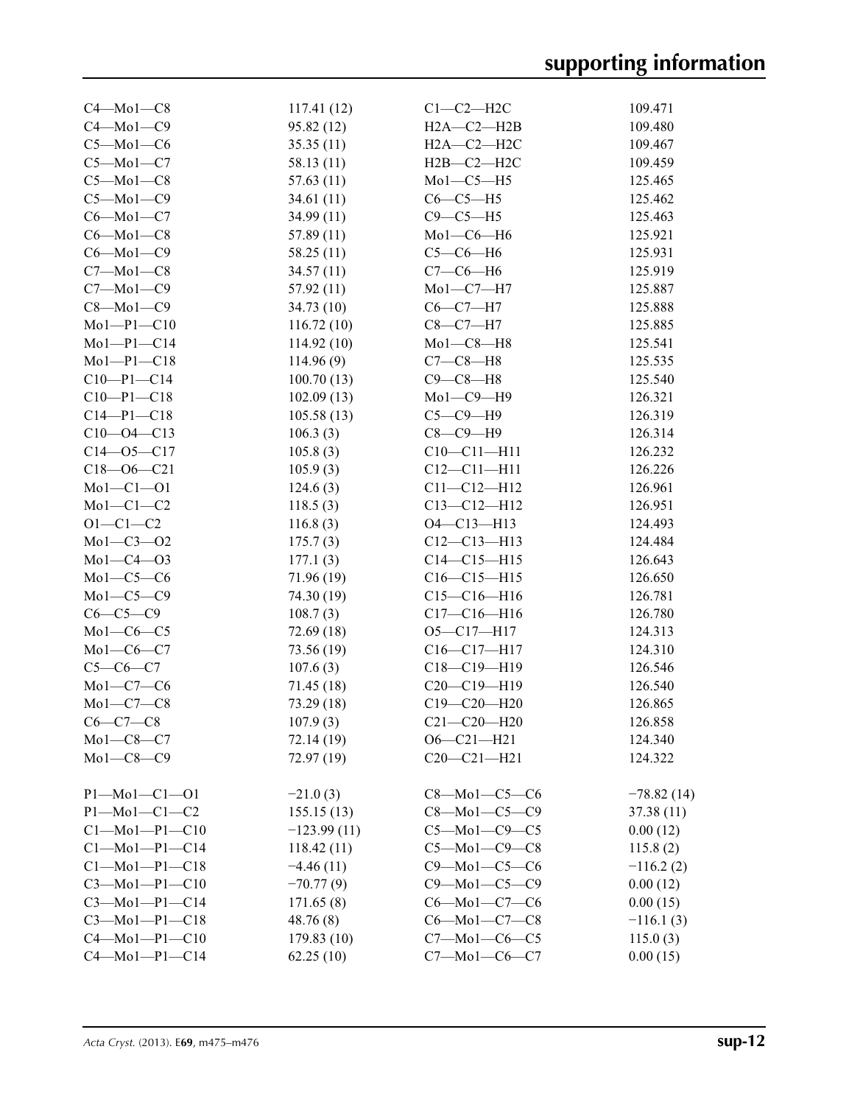| $C4 - Mo1 - C8$                  | 117.41(12)    | $C1-C2-H2C$          | 109.471      |
|----------------------------------|---------------|----------------------|--------------|
| $C4 - Mo1 - C9$                  | 95.82(12)     | $H2A - C2 - H2B$     | 109.480      |
| $C5 - Mo1 - C6$                  | 35.35(11)     | $H2A-C2-H2C$         | 109.467      |
| $C5 - Mo1 - C7$                  | 58.13(11)     | $H2B-C2-H2C$         | 109.459      |
| $C5 - Mo1 - C8$                  | 57.63(11)     | $Mo1-C5-H5$          | 125.465      |
| $C5 - Mo1 - C9$                  | 34.61(11)     | $C6-C5-H5$           | 125.462      |
| $C6 - Mo1 - C7$                  | 34.99(11)     | $C9-C5-H5$           | 125.463      |
| $C6 - Mo1 - C8$                  | 57.89(11)     | $Mo1-C6-H6$          | 125.921      |
| $C6 - Mo1 - C9$                  | 58.25(11)     | $C5-C6-H6$           | 125.931      |
| $C7 - Mo1 - C8$                  | 34.57(11)     | $C7-C6-H6$           | 125.919      |
| $C7 - Mo1 - C9$                  | 57.92(11)     | $Mo1-C7-H7$          | 125.887      |
| $C8 - Mo1 - C9$                  | 34.73(10)     | $C6-C7-H7$           | 125.888      |
| $Mo1-P1-C10$                     | 116.72(10)    | $C8 - C7 - H7$       | 125.885      |
| $Mo1-P1-C14$                     | 114.92(10)    | $Mo1-C8-H8$          | 125.541      |
| $Mo1-P1-C18$                     | 114.96(9)     | $C7-C8-H8$           | 125.535      |
| $C10-P1-C14$                     | 100.70(13)    | $C9 - C8 - H8$       | 125.540      |
|                                  | 102.09(13)    | $Mo1-C9-H9$          | 126.321      |
| $C10-P1-C18$<br>$C14 - P1 - C18$ |               |                      |              |
|                                  | 105.58(13)    | $C5-C9-H9$           | 126.319      |
| $C10 - 04 - C13$                 | 106.3(3)      | $C8-C9-H9$           | 126.314      |
| $C14 - 05 - C17$                 | 105.8(3)      | $C10 - C11 - H11$    | 126.232      |
| $C18 - 06 - C21$                 | 105.9(3)      | $C12 - C11 - H11$    | 126.226      |
| $Mo1-C1-O1$                      | 124.6(3)      | $C11 - C12 - H12$    | 126.961      |
| $Mo1-C1-C2$                      | 118.5(3)      | $C13 - C12 - H12$    | 126.951      |
| $O1 - C1 - C2$                   | 116.8(3)      | $O4 - C13 - H13$     | 124.493      |
| $Mo1-C3-O2$                      | 175.7(3)      | $C12-C13-H13$        | 124.484      |
| $Mo1-C4-O3$                      | 177.1(3)      | $C14 - C15 - H15$    | 126.643      |
| $Mo1-C5-C6$                      | 71.96 (19)    | $C16-C15-H15$        | 126.650      |
| $Mo1-C5-C9$                      | 74.30 (19)    | $C15-C16-H16$        | 126.781      |
| $C6 - C5 - C9$                   | 108.7(3)      | $C17 - C16 - H16$    | 126.780      |
| $Mo1-C6-C5$                      | 72.69 (18)    | $O5 - Cl7 - H17$     | 124.313      |
| $Mo1-C6-C7$                      | 73.56 (19)    | $C16-C17-H17$        | 124.310      |
| $C5 - C6 - C7$                   | 107.6(3)      | C18-C19-H19          | 126.546      |
| $Mo1-C7-C6$                      | 71.45 (18)    | $C20-C19-H19$        | 126.540      |
| $Mo1-C7-C8$                      | 73.29(18)     | C19-C20-H20          | 126.865      |
| $C6-C7-C8$                       | 107.9(3)      | $C21 - C20 - H20$    | 126.858      |
| $Mo1-C8-C7$                      | 72.14 (19)    | $O6 - C21 - H21$     | 124.340      |
| $Mo1-C8-C9$                      | 72.97 (19)    | $C20-C21-H21$        | 124.322      |
|                                  |               |                      |              |
| $P1 - Mo1 - C1 - O1$             | $-21.0(3)$    | $C8 - Mo1 - C5 - C6$ | $-78.82(14)$ |
| $P1 - Mo1 - C1 - C2$             | 155.15(13)    | $C8 - Mo1 - C5 - C9$ | 37.38(11)    |
| $C1-Mo1-P1-C10$                  | $-123.99(11)$ | $C5-Mo1-C9-C5$       | 0.00(12)     |
| $Cl-Mol-P1-C14$                  | 118.42(11)    | $C5-Mo1-C9-C8$       | 115.8(2)     |
| $C1-Mo1-P1-C18$                  | $-4.46(11)$   | $C9$ —Mo1—C5—C6      | $-116.2(2)$  |
| $C3 - Mo1 - P1 - C10$            | $-70.77(9)$   | $C9 - Mo1 - C5 - C9$ | 0.00(12)     |
| $C3 - Mol - Pl - C14$            | 171.65(8)     | $C6 - Mo1 - C7 - C6$ | 0.00(15)     |
| $C3 - Mol - Pl - C18$            | 48.76(8)      | $C6$ —Mo1—C7—C8      | $-116.1(3)$  |
| $C4 - Mo1 - P1 - C10$            | 179.83(10)    | $C7 - Mo1 - C6 - C5$ | 115.0(3)     |
| $C4 - Mo1 - P1 - C14$            | 62.25(10)     | $C7 - Mo1 - C6 - C7$ | 0.00(15)     |
|                                  |               |                      |              |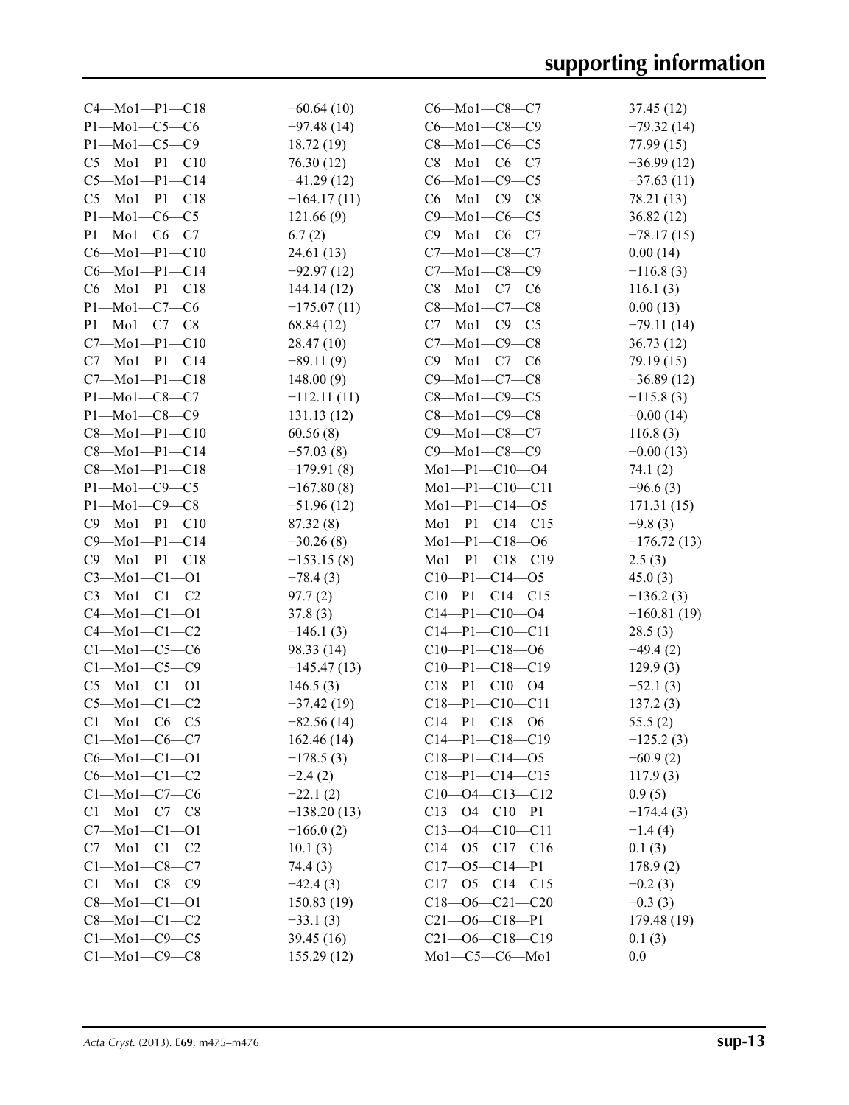| $C4 - Mo1 - P1 - C18$ | $-60.64(10)$  | $C6$ —Mo1— $C8$ —C7    | 37.45 (12)    |
|-----------------------|---------------|------------------------|---------------|
| $P1 - Mo1 - C5 - C6$  | $-97.48(14)$  | $C6 - Mo1 - C8 - C9$   | $-79.32(14)$  |
| $P1 - Mo1 - C5 - C9$  | 18.72(19)     | $C8 - Mo1 - C6 - C5$   | 77.99 (15)    |
| $C5 - Mo1 - P1 - C10$ | 76.30(12)     | $C8 - Mo1 - C6 - C7$   | $-36.99(12)$  |
| $C5 - Mo1 - P1 - C14$ | $-41.29(12)$  | $C6$ —Mo1—C9—C5        | $-37.63(11)$  |
| $C5 - Mo1 - P1 - C18$ | $-164.17(11)$ | $C6 - Mo1 - C9 - C8$   | 78.21 (13)    |
| $P1 - Mo1 - C6 - C5$  | 121.66(9)     | $C9$ —Mo1—C6—C5        | 36.82 (12)    |
| $P1 - Mo1 - C6 - C7$  | 6.7(2)        | $C9 - Mo1 - C6 - C7$   | $-78.17(15)$  |
| $C6 - Mo1 - P1 - C10$ | 24.61 (13)    | $C7 - Mo1 - C8 - C7$   | 0.00(14)      |
| $C6 - Mol - Pl - C14$ | $-92.97(12)$  | $C7 - Mo1 - C8 - C9$   | $-116.8(3)$   |
| $C6 - Mo1 - P1 - C18$ | 144.14(12)    | $C8 - Mo1 - C7 - C6$   | 116.1(3)      |
| $P1 - Mo1 - C7 - C6$  | $-175.07(11)$ | $C8 - Mo1 - C7 - C8$   | 0.00(13)      |
| $P1 - Mo1 - C7 - C8$  | 68.84 (12)    | $C7 - Mo1 - C9 - C5$   | $-79.11(14)$  |
| $C7 - Mo1 - P1 - C10$ | 28.47 (10)    | $C7 - Mo1 - C9 - C8$   | 36.73(12)     |
| $C7 - Mo1 - P1 - C14$ | $-89.11(9)$   | $C9 - Mo1 - C7 - C6$   | 79.19 (15)    |
| $C7 - Mo1 - P1 - C18$ | 148.00(9)     | $C9 - Mo1 - C7 - C8$   | $-36.89(12)$  |
| $P1 - Mo1 - C8 - C7$  | $-112.11(11)$ | $C8 - Mo1 - C9 - C5$   | $-115.8(3)$   |
| P1-Mo1-C8-C9          | 131.13(12)    | $C8 - Mo1 - C9 - C8$   | $-0.00(14)$   |
| $C8 - Mo1 - P1 - C10$ | 60.56(8)      | $C9 - Mo1 - C8 - C7$   |               |
|                       |               | $C9 - Mo1 - C8 - C9$   | 116.8(3)      |
| $C8 - Mo1 - P1 - C14$ | $-57.03(8)$   |                        | $-0.00(13)$   |
| $C8 - Mo1 - P1 - C18$ | $-179.91(8)$  | $Mo1-P1-C10-O4$        | 74.1 $(2)$    |
| $P1 - Mo1 - C9 - C5$  | $-167.80(8)$  | Mo1-P1-C10-C11         | $-96.6(3)$    |
| $P1 - Mo1 - C9 - C8$  | $-51.96(12)$  | $Mo1-P1-C14-O5$        | 171.31(15)    |
| $C9 - Mo1 - P1 - C10$ | 87.32(8)      | $Mo1-P1-C14-C15$       | $-9.8(3)$     |
| $C9 - Mo1 - P1 - C14$ | $-30.26(8)$   | Mo1-P1-C18-06          | $-176.72(13)$ |
| $C9 - Mo1 - P1 - C18$ | $-153.15(8)$  | Mo1-P1-C18-C19         | 2.5(3)        |
| $C3 - Mo1 - C1 - O1$  | $-78.4(3)$    | $C10-P1-C14-05$        | 45.0(3)       |
| $C3-Mo1-C1-C2$        | 97.7(2)       | $C10-P1-C14-C15$       | $-136.2(3)$   |
| $C4 - Mo1 - C1 - O1$  | 37.8(3)       | $C14-P1-C10-04$        | $-160.81(19)$ |
| $C4-Mo1-C1-C2$        | $-146.1(3)$   | $C14-P1-C10-C11$       | 28.5(3)       |
| $C1-Mo1-C5-C6$        | 98.33 (14)    | $C10-P1-C18-06$        | $-49.4(2)$    |
| $C1 - Mo1 - C5 - C9$  | $-145.47(13)$ | $C10-P1-C18-C19$       | 129.9(3)      |
| $C5 - Mol - C1 - O1$  | 146.5(3)      | $C18-P1-C10-04$        | $-52.1(3)$    |
| $C5-Mo1-C1-C2$        | $-37.42(19)$  | $C18-P1-C10-C11$       | 137.2(3)      |
| $C1-Mo1-C6-C5$        | $-82.56(14)$  | $C14-P1-C18-06$        | 55.5 $(2)$    |
| $C1-Mo1-C6-C7$        | 162.46(14)    | $C14-P1-C18-C19$       | $-125.2(3)$   |
| $C6 - Mol - C1 - O1$  | $-178.5(3)$   | $C18-P1-C14-05$        | $-60.9(2)$    |
| $C6 - Mol - C1 - C2$  | $-2.4(2)$     | $C18-P1-C14-C15$       | 117.9(3)      |
| $C1-Mo1-C7-C6$        | $-22.1(2)$    | $C10 - 04 - C13 - C12$ | 0.9(5)        |
| $C1-Mo1-C7-C8$        | $-138.20(13)$ | $C13 - O4 - C10 - P1$  | $-174.4(3)$   |
| $C7 - Mo1 - C1 - O1$  | $-166.0(2)$   | $C13 - 04 - C10 - C11$ | $-1.4(4)$     |
| $C7 - Mo1 - C1 - C2$  | 10.1(3)       | $C14 - 05 - C17 - C16$ | 0.1(3)        |
| $C1 - Mo1 - C8 - C7$  | 74.4 (3)      | $C17 - 05 - C14 - P1$  | 178.9(2)      |
| $C1-Mo1-C8-C9$        | $-42.4(3)$    | $C17 - 05 - C14 - C15$ | $-0.2(3)$     |
| $C8 - Mo1 - C1 - O1$  | 150.83(19)    | $C18 - 06 - C21 - C20$ | $-0.3(3)$     |
| $C8 - Mo1 - C1 - C2$  | $-33.1(3)$    | $C21 - 06 - C18 - P1$  | 179.48 (19)   |
| $C1-Mo1-C9-C5$        | 39.45(16)     | $C21 - 06 - C18 - C19$ | 0.1(3)        |
| $C1-Mo1-C9-C8$        | 155.29(12)    | $Mo1-C5-C6-Mo1$        | 0.0           |